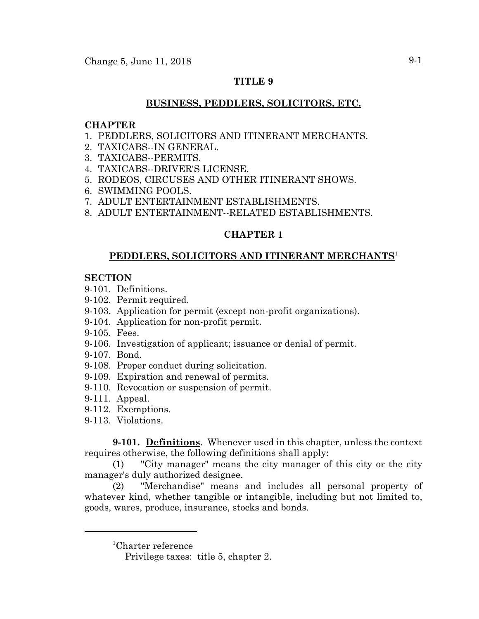# **TITLE 9**

# **BUSINESS, PEDDLERS, SOLICITORS, ETC.**

# **CHAPTER**

- 1. PEDDLERS, SOLICITORS AND ITINERANT MERCHANTS.
- 2. TAXICABS--IN GENERAL.
- 3. TAXICABS--PERMITS.
- 4. TAXICABS--DRIVER'S LICENSE.
- 5. RODEOS, CIRCUSES AND OTHER ITINERANT SHOWS.
- 6. SWIMMING POOLS.
- 7. ADULT ENTERTAINMENT ESTABLISHMENTS.
- 8. ADULT ENTERTAINMENT--RELATED ESTABLISHMENTS.

# **CHAPTER 1**

# **PEDDLERS, SOLICITORS AND ITINERANT MERCHANTS**<sup>1</sup>

# **SECTION**

- 9-101. Definitions.
- 9-102. Permit required.
- 9-103. Application for permit (except non-profit organizations).
- 9-104. Application for non-profit permit.
- 9-105. Fees.
- 9-106. Investigation of applicant; issuance or denial of permit.
- 9-107. Bond.
- 9-108. Proper conduct during solicitation.
- 9-109. Expiration and renewal of permits.
- 9-110. Revocation or suspension of permit.
- 9-111. Appeal.
- 9-112. Exemptions.
- 9-113. Violations.

**9-101. Definitions**. Whenever used in this chapter, unless the context requires otherwise, the following definitions shall apply:

(1) "City manager" means the city manager of this city or the city manager's duly authorized designee.

(2) "Merchandise" means and includes all personal property of whatever kind, whether tangible or intangible, including but not limited to, goods, wares, produce, insurance, stocks and bonds.

<sup>1</sup> Charter reference

Privilege taxes: title 5, chapter 2.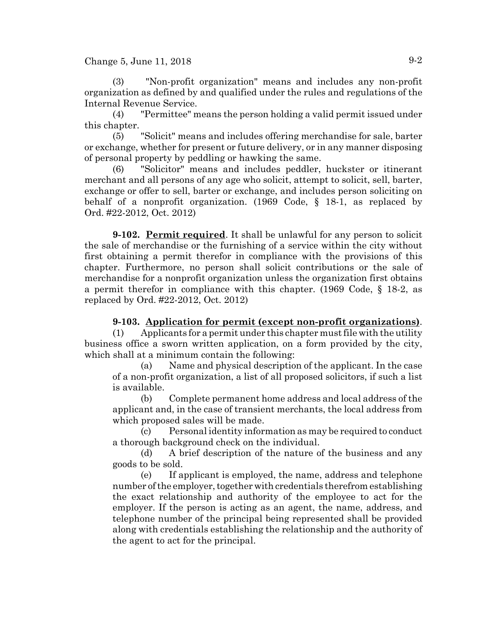Change 5, June 11, 2018  $9-2$ 

(3) "Non-profit organization" means and includes any non-profit organization as defined by and qualified under the rules and regulations of the Internal Revenue Service.

(4) "Permittee" means the person holding a valid permit issued under this chapter.

(5) "Solicit" means and includes offering merchandise for sale, barter or exchange, whether for present or future delivery, or in any manner disposing of personal property by peddling or hawking the same.

(6) "Solicitor" means and includes peddler, huckster or itinerant merchant and all persons of any age who solicit, attempt to solicit, sell, barter, exchange or offer to sell, barter or exchange, and includes person soliciting on behalf of a nonprofit organization. (1969 Code, § 18-1, as replaced by Ord. #22-2012, Oct. 2012)

**9-102. Permit required**. It shall be unlawful for any person to solicit the sale of merchandise or the furnishing of a service within the city without first obtaining a permit therefor in compliance with the provisions of this chapter. Furthermore, no person shall solicit contributions or the sale of merchandise for a nonprofit organization unless the organization first obtains a permit therefor in compliance with this chapter. (1969 Code, § 18-2, as replaced by Ord. #22-2012, Oct. 2012)

# **9-103. Application for permit (except non-profit organizations)**.

(1) Applicants for a permit under this chapter must file with the utility business office a sworn written application, on a form provided by the city, which shall at a minimum contain the following:

(a) Name and physical description of the applicant. In the case of a non-profit organization, a list of all proposed solicitors, if such a list is available.

(b) Complete permanent home address and local address of the applicant and, in the case of transient merchants, the local address from which proposed sales will be made.

(c) Personal identity information as may be required to conduct a thorough background check on the individual.

(d) A brief description of the nature of the business and any goods to be sold.

(e) If applicant is employed, the name, address and telephone number of the employer, together with credentials therefrom establishing the exact relationship and authority of the employee to act for the employer. If the person is acting as an agent, the name, address, and telephone number of the principal being represented shall be provided along with credentials establishing the relationship and the authority of the agent to act for the principal.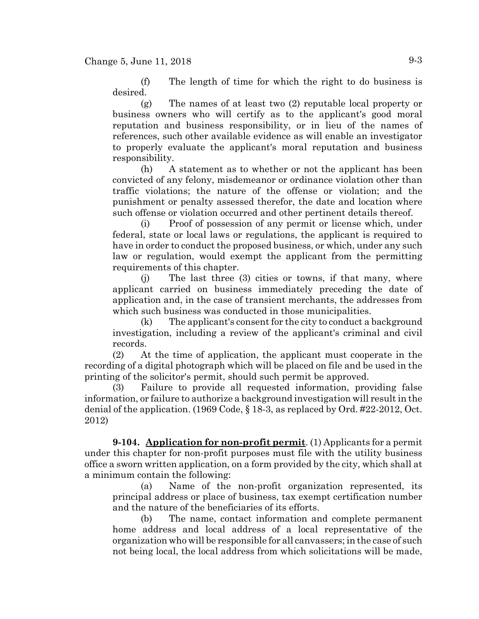(f) The length of time for which the right to do business is desired.

(g) The names of at least two (2) reputable local property or business owners who will certify as to the applicant's good moral reputation and business responsibility, or in lieu of the names of references, such other available evidence as will enable an investigator to properly evaluate the applicant's moral reputation and business responsibility.

(h) A statement as to whether or not the applicant has been convicted of any felony, misdemeanor or ordinance violation other than traffic violations; the nature of the offense or violation; and the punishment or penalty assessed therefor, the date and location where such offense or violation occurred and other pertinent details thereof.

(i) Proof of possession of any permit or license which, under federal, state or local laws or regulations, the applicant is required to have in order to conduct the proposed business, or which, under any such law or regulation, would exempt the applicant from the permitting requirements of this chapter.

(j) The last three (3) cities or towns, if that many, where applicant carried on business immediately preceding the date of application and, in the case of transient merchants, the addresses from which such business was conducted in those municipalities.

(k) The applicant's consent for the city to conduct a background investigation, including a review of the applicant's criminal and civil records.

(2) At the time of application, the applicant must cooperate in the recording of a digital photograph which will be placed on file and be used in the printing of the solicitor's permit, should such permit be approved.

(3) Failure to provide all requested information, providing false information, or failure to authorize a background investigation will result in the denial of the application. (1969 Code, § 18-3, as replaced by Ord. #22-2012, Oct. 2012)

**9-104. Application for non-profit permit**. (1) Applicants for a permit under this chapter for non-profit purposes must file with the utility business office a sworn written application, on a form provided by the city, which shall at a minimum contain the following:

(a) Name of the non-profit organization represented, its principal address or place of business, tax exempt certification number and the nature of the beneficiaries of its efforts.

(b) The name, contact information and complete permanent home address and local address of a local representative of the organization who will be responsible for all canvassers; in the case of such not being local, the local address from which solicitations will be made,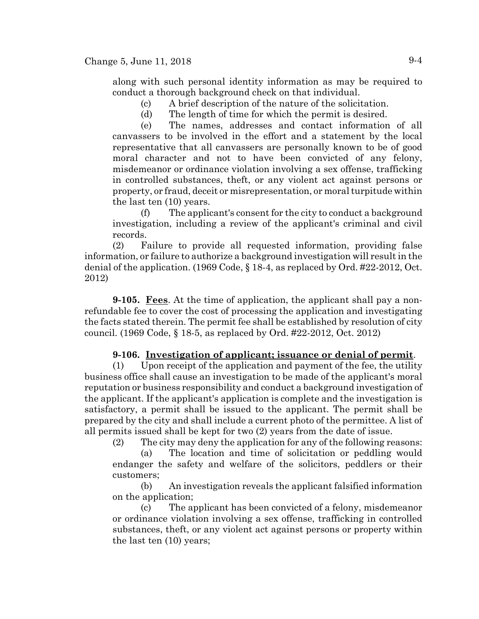along with such personal identity information as may be required to conduct a thorough background check on that individual.

(c) A brief description of the nature of the solicitation.

(d) The length of time for which the permit is desired.

(e) The names, addresses and contact information of all canvassers to be involved in the effort and a statement by the local representative that all canvassers are personally known to be of good moral character and not to have been convicted of any felony, misdemeanor or ordinance violation involving a sex offense, trafficking in controlled substances, theft, or any violent act against persons or property, or fraud, deceit or misrepresentation, or moral turpitude within the last ten (10) years.

(f) The applicant's consent for the city to conduct a background investigation, including a review of the applicant's criminal and civil records.

(2) Failure to provide all requested information, providing false information, or failure to authorize a background investigation will result in the denial of the application.  $(1969 \text{ Code}, \{818-4, \text{ as replaced by Ord}, \#22-2012, \text{Oct.})\}$ 2012)

**9-105.** Fees. At the time of application, the applicant shall pay a nonrefundable fee to cover the cost of processing the application and investigating the facts stated therein. The permit fee shall be established by resolution of city council. (1969 Code, § 18-5, as replaced by Ord. #22-2012, Oct. 2012)

### **9-106. Investigation of applicant; issuance or denial of permit**.

(1) Upon receipt of the application and payment of the fee, the utility business office shall cause an investigation to be made of the applicant's moral reputation or business responsibility and conduct a background investigation of the applicant. If the applicant's application is complete and the investigation is satisfactory, a permit shall be issued to the applicant. The permit shall be prepared by the city and shall include a current photo of the permittee. A list of all permits issued shall be kept for two (2) years from the date of issue.

(2) The city may deny the application for any of the following reasons:

(a) The location and time of solicitation or peddling would endanger the safety and welfare of the solicitors, peddlers or their customers;

(b) An investigation reveals the applicant falsified information on the application;

(c) The applicant has been convicted of a felony, misdemeanor or ordinance violation involving a sex offense, trafficking in controlled substances, theft, or any violent act against persons or property within the last ten (10) years;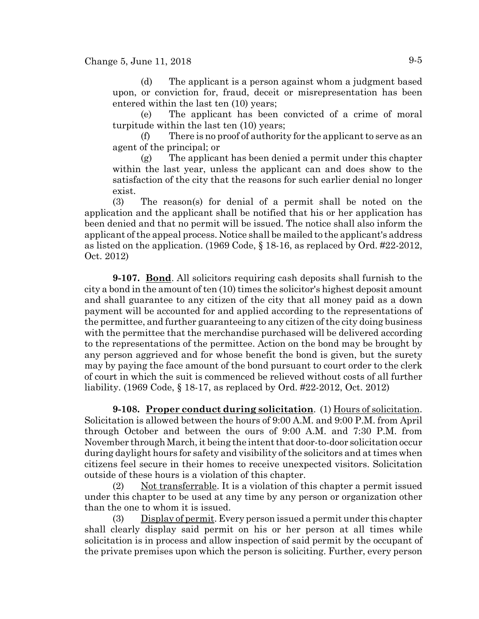(d) The applicant is a person against whom a judgment based upon, or conviction for, fraud, deceit or misrepresentation has been entered within the last ten (10) years;

(e) The applicant has been convicted of a crime of moral turpitude within the last ten (10) years;

(f) There is no proof of authority for the applicant to serve as an agent of the principal; or

(g) The applicant has been denied a permit under this chapter within the last year, unless the applicant can and does show to the satisfaction of the city that the reasons for such earlier denial no longer exist.

(3) The reason(s) for denial of a permit shall be noted on the application and the applicant shall be notified that his or her application has been denied and that no permit will be issued. The notice shall also inform the applicant of the appeal process. Notice shall be mailed to the applicant's address as listed on the application. (1969 Code, § 18-16, as replaced by Ord. #22-2012, Oct. 2012)

**9-107. Bond**. All solicitors requiring cash deposits shall furnish to the city a bond in the amount of ten (10) times the solicitor's highest deposit amount and shall guarantee to any citizen of the city that all money paid as a down payment will be accounted for and applied according to the representations of the permittee, and further guaranteeing to any citizen of the city doing business with the permittee that the merchandise purchased will be delivered according to the representations of the permittee. Action on the bond may be brought by any person aggrieved and for whose benefit the bond is given, but the surety may by paying the face amount of the bond pursuant to court order to the clerk of court in which the suit is commenced be relieved without costs of all further liability. (1969 Code, § 18-17, as replaced by Ord. #22-2012, Oct. 2012)

**9-108. Proper conduct during solicitation**. (1) Hours of solicitation. Solicitation is allowed between the hours of 9:00 A.M. and 9:00 P.M. from April through October and between the ours of 9:00 A.M. and 7:30 P.M. from November through March, it being the intent that door-to-door solicitation occur during daylight hours for safety and visibility of the solicitors and at times when citizens feel secure in their homes to receive unexpected visitors. Solicitation outside of these hours is a violation of this chapter.

(2) Not transferrable. It is a violation of this chapter a permit issued under this chapter to be used at any time by any person or organization other than the one to whom it is issued.

(3) Display of permit. Every person issued a permit under this chapter shall clearly display said permit on his or her person at all times while solicitation is in process and allow inspection of said permit by the occupant of the private premises upon which the person is soliciting. Further, every person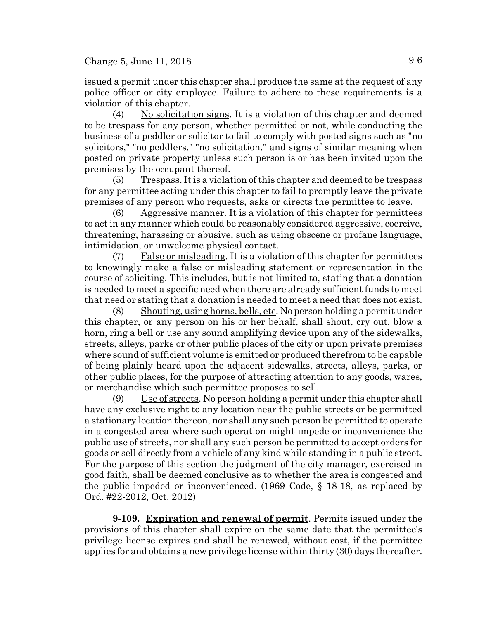issued a permit under this chapter shall produce the same at the request of any police officer or city employee. Failure to adhere to these requirements is a violation of this chapter.

(4) No solicitation signs. It is a violation of this chapter and deemed to be trespass for any person, whether permitted or not, while conducting the business of a peddler or solicitor to fail to comply with posted signs such as "no solicitors," "no peddlers," "no solicitation," and signs of similar meaning when posted on private property unless such person is or has been invited upon the premises by the occupant thereof.

 $(5)$  Trespass. It is a violation of this chapter and deemed to be trespass for any permittee acting under this chapter to fail to promptly leave the private premises of any person who requests, asks or directs the permittee to leave.

 $(6)$  Aggressive manner. It is a violation of this chapter for permittees to act in any manner which could be reasonably considered aggressive, coercive, threatening, harassing or abusive, such as using obscene or profane language, intimidation, or unwelcome physical contact.

(7) False or misleading. It is a violation of this chapter for permittees to knowingly make a false or misleading statement or representation in the course of soliciting. This includes, but is not limited to, stating that a donation is needed to meet a specific need when there are already sufficient funds to meet that need or stating that a donation is needed to meet a need that does not exist.

(8) Shouting, using horns, bells, etc. No person holding a permit under this chapter, or any person on his or her behalf, shall shout, cry out, blow a horn, ring a bell or use any sound amplifying device upon any of the sidewalks, streets, alleys, parks or other public places of the city or upon private premises where sound of sufficient volume is emitted or produced therefrom to be capable of being plainly heard upon the adjacent sidewalks, streets, alleys, parks, or other public places, for the purpose of attracting attention to any goods, wares, or merchandise which such permittee proposes to sell.

 $(9)$  Use of streets. No person holding a permit under this chapter shall have any exclusive right to any location near the public streets or be permitted a stationary location thereon, nor shall any such person be permitted to operate in a congested area where such operation might impede or inconvenience the public use of streets, nor shall any such person be permitted to accept orders for goods or sell directly from a vehicle of any kind while standing in a public street. For the purpose of this section the judgment of the city manager, exercised in good faith, shall be deemed conclusive as to whether the area is congested and the public impeded or inconvenienced. (1969 Code, § 18-18, as replaced by Ord. #22-2012, Oct. 2012)

**9-109. Expiration and renewal of permit**. Permits issued under the provisions of this chapter shall expire on the same date that the permittee's privilege license expires and shall be renewed, without cost, if the permittee applies for and obtains a new privilege license within thirty (30) days thereafter.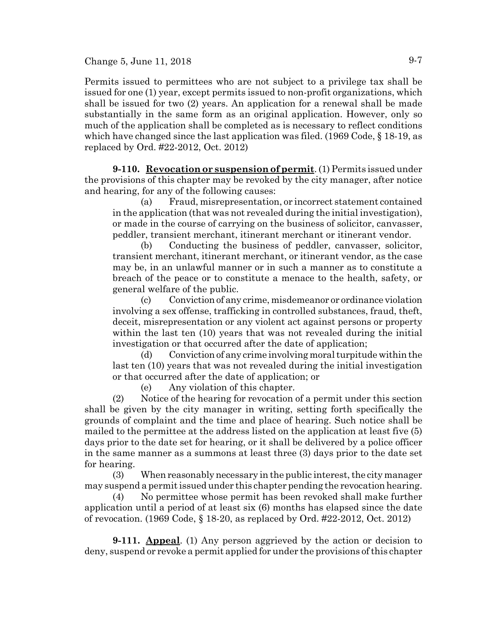Change 5, June 11, 2018  $9-7$ 

Permits issued to permittees who are not subject to a privilege tax shall be issued for one (1) year, except permits issued to non-profit organizations, which shall be issued for two (2) years. An application for a renewal shall be made substantially in the same form as an original application. However, only so much of the application shall be completed as is necessary to reflect conditions which have changed since the last application was filed. (1969 Code, § 18-19, as replaced by Ord. #22-2012, Oct. 2012)

**9-110. Revocation or suspension of permit**. (1) Permits issued under the provisions of this chapter may be revoked by the city manager, after notice and hearing, for any of the following causes:

(a) Fraud, misrepresentation, or incorrect statement contained in the application (that was not revealed during the initial investigation), or made in the course of carrying on the business of solicitor, canvasser, peddler, transient merchant, itinerant merchant or itinerant vendor.

(b) Conducting the business of peddler, canvasser, solicitor, transient merchant, itinerant merchant, or itinerant vendor, as the case may be, in an unlawful manner or in such a manner as to constitute a breach of the peace or to constitute a menace to the health, safety, or general welfare of the public.

(c) Conviction of any crime, misdemeanor or ordinance violation involving a sex offense, trafficking in controlled substances, fraud, theft, deceit, misrepresentation or any violent act against persons or property within the last ten (10) years that was not revealed during the initial investigation or that occurred after the date of application;

(d) Conviction of any crime involving moral turpitude within the last ten (10) years that was not revealed during the initial investigation or that occurred after the date of application; or

(e) Any violation of this chapter.

(2) Notice of the hearing for revocation of a permit under this section shall be given by the city manager in writing, setting forth specifically the grounds of complaint and the time and place of hearing. Such notice shall be mailed to the permittee at the address listed on the application at least five (5) days prior to the date set for hearing, or it shall be delivered by a police officer in the same manner as a summons at least three (3) days prior to the date set for hearing.

(3) When reasonably necessary in the public interest, the city manager may suspend a permit issued under this chapter pending the revocation hearing.

(4) No permittee whose permit has been revoked shall make further application until a period of at least six (6) months has elapsed since the date of revocation. (1969 Code, § 18-20, as replaced by Ord. #22-2012, Oct. 2012)

**9-111. Appeal**. (1) Any person aggrieved by the action or decision to deny, suspend or revoke a permit applied for under the provisions of this chapter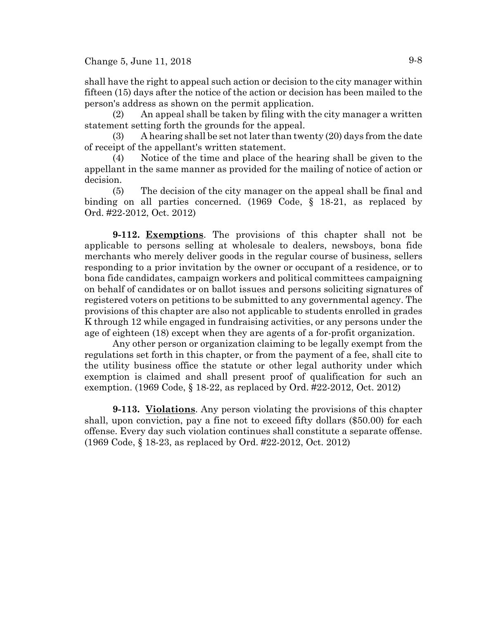shall have the right to appeal such action or decision to the city manager within fifteen (15) days after the notice of the action or decision has been mailed to the person's address as shown on the permit application.

(2) An appeal shall be taken by filing with the city manager a written statement setting forth the grounds for the appeal.

(3) A hearing shall be set not later than twenty (20) days from the date of receipt of the appellant's written statement.

(4) Notice of the time and place of the hearing shall be given to the appellant in the same manner as provided for the mailing of notice of action or decision.

(5) The decision of the city manager on the appeal shall be final and binding on all parties concerned. (1969 Code, § 18-21, as replaced by Ord. #22-2012, Oct. 2012)

**9-112. Exemptions**. The provisions of this chapter shall not be applicable to persons selling at wholesale to dealers, newsboys, bona fide merchants who merely deliver goods in the regular course of business, sellers responding to a prior invitation by the owner or occupant of a residence, or to bona fide candidates, campaign workers and political committees campaigning on behalf of candidates or on ballot issues and persons soliciting signatures of registered voters on petitions to be submitted to any governmental agency. The provisions of this chapter are also not applicable to students enrolled in grades K through 12 while engaged in fundraising activities, or any persons under the age of eighteen (18) except when they are agents of a for-profit organization.

Any other person or organization claiming to be legally exempt from the regulations set forth in this chapter, or from the payment of a fee, shall cite to the utility business office the statute or other legal authority under which exemption is claimed and shall present proof of qualification for such an exemption. (1969 Code, § 18-22, as replaced by Ord. #22-2012, Oct. 2012)

**9-113. Violations**. Any person violating the provisions of this chapter shall, upon conviction, pay a fine not to exceed fifty dollars (\$50.00) for each offense. Every day such violation continues shall constitute a separate offense. (1969 Code, § 18-23, as replaced by Ord. #22-2012, Oct. 2012)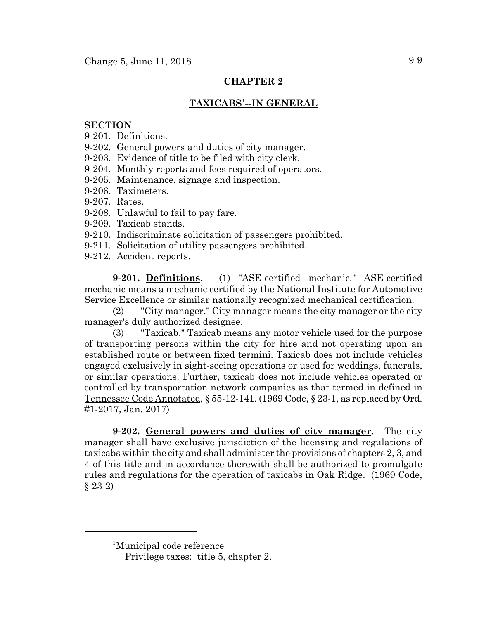# **CHAPTER 2**

# $\mathbf{TAXICABS^{1}-IN\ GENERAL}$

#### **SECTION**

- 9-201. Definitions.
- 9-202. General powers and duties of city manager.
- 9-203. Evidence of title to be filed with city clerk.
- 9-204. Monthly reports and fees required of operators.
- 9-205. Maintenance, signage and inspection.
- 9-206. Taximeters.
- 9-207. Rates.
- 9-208. Unlawful to fail to pay fare.
- 9-209. Taxicab stands.
- 9-210. Indiscriminate solicitation of passengers prohibited.
- 9-211. Solicitation of utility passengers prohibited.
- 9-212. Accident reports.

**9-201. Definitions**. (1) "ASE-certified mechanic." ASE-certified mechanic means a mechanic certified by the National Institute for Automotive Service Excellence or similar nationally recognized mechanical certification.

(2) "City manager." City manager means the city manager or the city manager's duly authorized designee.

(3) "Taxicab." Taxicab means any motor vehicle used for the purpose of transporting persons within the city for hire and not operating upon an established route or between fixed termini. Taxicab does not include vehicles engaged exclusively in sight-seeing operations or used for weddings, funerals, or similar operations. Further, taxicab does not include vehicles operated or controlled by transportation network companies as that termed in defined in Tennessee Code Annotated, § 55-12-141. (1969 Code, § 23-1, as replaced by Ord. #1-2017, Jan. 2017)

**9-202. General powers and duties of city manager**. The city manager shall have exclusive jurisdiction of the licensing and regulations of taxicabs within the city and shall administer the provisions of chapters 2, 3, and 4 of this title and in accordance therewith shall be authorized to promulgate rules and regulations for the operation of taxicabs in Oak Ridge. (1969 Code, § 23-2)

<sup>1</sup> Municipal code reference

Privilege taxes: title 5, chapter 2.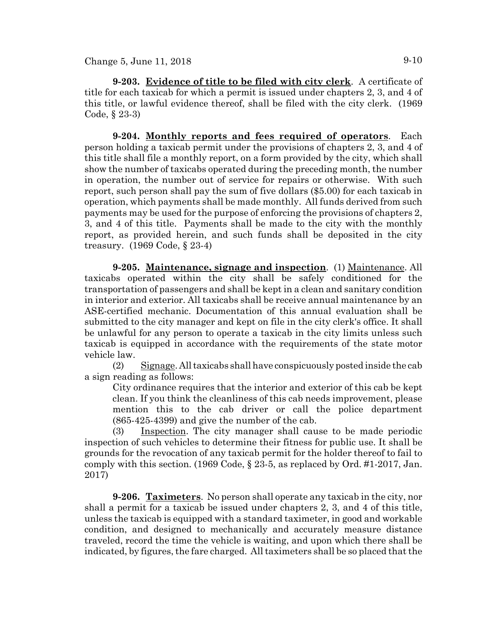**9-203. Evidence of title to be filed with city clerk**. A certificate of title for each taxicab for which a permit is issued under chapters 2, 3, and 4 of this title, or lawful evidence thereof, shall be filed with the city clerk. (1969 Code, § 23-3)

**9-204. Monthly reports and fees required of operators**. Each person holding a taxicab permit under the provisions of chapters 2, 3, and 4 of this title shall file a monthly report, on a form provided by the city, which shall show the number of taxicabs operated during the preceding month, the number in operation, the number out of service for repairs or otherwise. With such report, such person shall pay the sum of five dollars (\$5.00) for each taxicab in operation, which payments shall be made monthly. All funds derived from such payments may be used for the purpose of enforcing the provisions of chapters 2, 3, and 4 of this title. Payments shall be made to the city with the monthly report, as provided herein, and such funds shall be deposited in the city treasury. (1969 Code, § 23-4)

**9-205. Maintenance, signage and inspection**. (1) Maintenance. All taxicabs operated within the city shall be safely conditioned for the transportation of passengers and shall be kept in a clean and sanitary condition in interior and exterior. All taxicabs shall be receive annual maintenance by an ASE-certified mechanic. Documentation of this annual evaluation shall be submitted to the city manager and kept on file in the city clerk's office. It shall be unlawful for any person to operate a taxicab in the city limits unless such taxicab is equipped in accordance with the requirements of the state motor vehicle law.

(2) Signage. All taxicabs shall have conspicuously posted inside the cab a sign reading as follows:

City ordinance requires that the interior and exterior of this cab be kept clean. If you think the cleanliness of this cab needs improvement, please mention this to the cab driver or call the police department (865-425-4399) and give the number of the cab.

(3) Inspection. The city manager shall cause to be made periodic inspection of such vehicles to determine their fitness for public use. It shall be grounds for the revocation of any taxicab permit for the holder thereof to fail to comply with this section. (1969 Code, § 23-5, as replaced by Ord. #1-2017, Jan. 2017)

**9-206. Taximeters**. No person shall operate any taxicab in the city, nor shall a permit for a taxicab be issued under chapters 2, 3, and 4 of this title, unless the taxicab is equipped with a standard taximeter, in good and workable condition, and designed to mechanically and accurately measure distance traveled, record the time the vehicle is waiting, and upon which there shall be indicated, by figures, the fare charged. All taximeters shall be so placed that the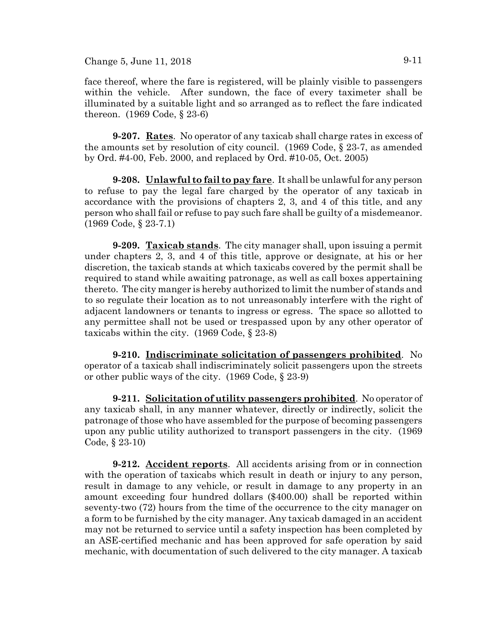Change 5, June 11, 2018 9-11

face thereof, where the fare is registered, will be plainly visible to passengers within the vehicle. After sundown, the face of every taximeter shall be illuminated by a suitable light and so arranged as to reflect the fare indicated thereon. (1969 Code, § 23-6)

**9-207. Rates**. No operator of any taxicab shall charge rates in excess of the amounts set by resolution of city council. (1969 Code, § 23-7, as amended by Ord. #4-00, Feb. 2000, and replaced by Ord. #10-05, Oct. 2005)

**9-208. Unlawful to fail to pay fare**. It shall be unlawful for any person to refuse to pay the legal fare charged by the operator of any taxicab in accordance with the provisions of chapters 2, 3, and 4 of this title, and any person who shall fail or refuse to pay such fare shall be guilty of a misdemeanor. (1969 Code, § 23-7.1)

**9-209. Taxicab stands**. The city manager shall, upon issuing a permit under chapters 2, 3, and 4 of this title, approve or designate, at his or her discretion, the taxicab stands at which taxicabs covered by the permit shall be required to stand while awaiting patronage, as well as call boxes appertaining thereto. The city manger is hereby authorized to limit the number of stands and to so regulate their location as to not unreasonably interfere with the right of adjacent landowners or tenants to ingress or egress. The space so allotted to any permittee shall not be used or trespassed upon by any other operator of taxicabs within the city. (1969 Code, § 23-8)

**9-210. Indiscriminate solicitation of passengers prohibited**. No operator of a taxicab shall indiscriminately solicit passengers upon the streets or other public ways of the city. (1969 Code, § 23-9)

**9-211. Solicitation of utility passengers prohibited**. No operator of any taxicab shall, in any manner whatever, directly or indirectly, solicit the patronage of those who have assembled for the purpose of becoming passengers upon any public utility authorized to transport passengers in the city. (1969 Code, § 23-10)

**9-212. Accident reports**. All accidents arising from or in connection with the operation of taxicabs which result in death or injury to any person, result in damage to any vehicle, or result in damage to any property in an amount exceeding four hundred dollars (\$400.00) shall be reported within seventy-two (72) hours from the time of the occurrence to the city manager on a form to be furnished by the city manager. Any taxicab damaged in an accident may not be returned to service until a safety inspection has been completed by an ASE-certified mechanic and has been approved for safe operation by said mechanic, with documentation of such delivered to the city manager. A taxicab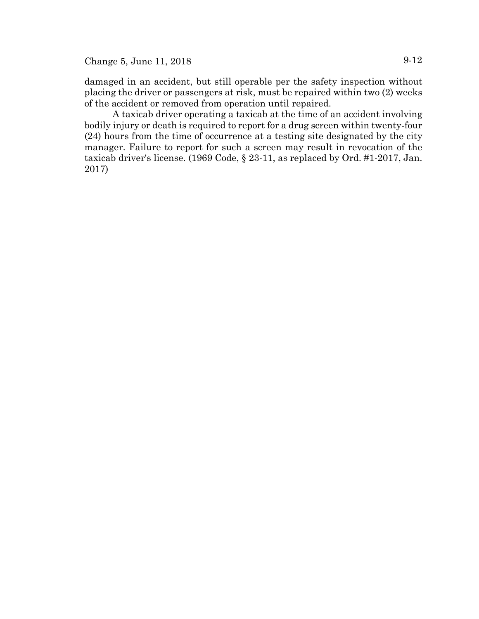Change 5, June 11, 2018 9-12

damaged in an accident, but still operable per the safety inspection without placing the driver or passengers at risk, must be repaired within two (2) weeks of the accident or removed from operation until repaired.

A taxicab driver operating a taxicab at the time of an accident involving bodily injury or death is required to report for a drug screen within twenty-four (24) hours from the time of occurrence at a testing site designated by the city manager. Failure to report for such a screen may result in revocation of the taxicab driver's license. (1969 Code, § 23-11, as replaced by Ord. #1-2017, Jan. 2017)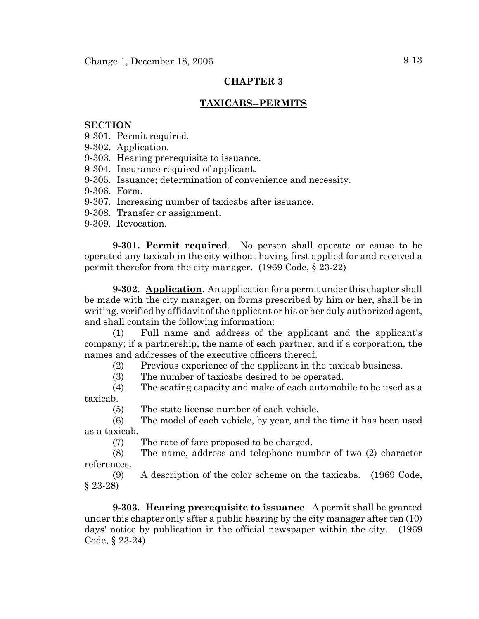## **CHAPTER 3**

## **TAXICABS--PERMITS**

#### **SECTION**

- 9-301. Permit required.
- 9-302. Application.
- 9-303. Hearing prerequisite to issuance.
- 9-304. Insurance required of applicant.
- 9-305. Issuance; determination of convenience and necessity.
- 9-306. Form.
- 9-307. Increasing number of taxicabs after issuance.
- 9-308. Transfer or assignment.
- 9-309. Revocation.

**9-301. Permit required**. No person shall operate or cause to be operated any taxicab in the city without having first applied for and received a permit therefor from the city manager. (1969 Code, § 23-22)

**9-302. Application**. An application for a permit under this chapter shall be made with the city manager, on forms prescribed by him or her, shall be in writing, verified by affidavit of the applicant or his or her duly authorized agent, and shall contain the following information:

(1) Full name and address of the applicant and the applicant's company; if a partnership, the name of each partner, and if a corporation, the names and addresses of the executive officers thereof.

(2) Previous experience of the applicant in the taxicab business.

(3) The number of taxicabs desired to be operated.

(4) The seating capacity and make of each automobile to be used as a taxicab.

(5) The state license number of each vehicle.

(6) The model of each vehicle, by year, and the time it has been used as a taxicab.

(7) The rate of fare proposed to be charged.

(8) The name, address and telephone number of two (2) character references.

(9) A description of the color scheme on the taxicabs. (1969 Code, § 23-28)

**9-303. Hearing prerequisite to issuance**. A permit shall be granted under this chapter only after a public hearing by the city manager after ten (10) days' notice by publication in the official newspaper within the city. (1969 Code, § 23-24)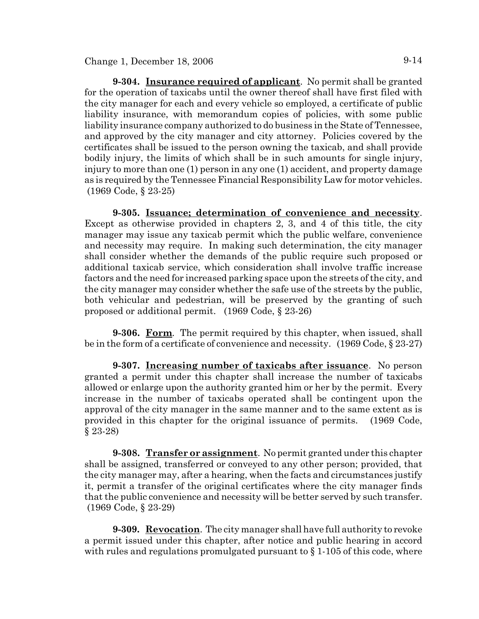**9-304. Insurance required of applicant**. No permit shall be granted for the operation of taxicabs until the owner thereof shall have first filed with the city manager for each and every vehicle so employed, a certificate of public liability insurance, with memorandum copies of policies, with some public liability insurance company authorized to do business in the State of Tennessee, and approved by the city manager and city attorney. Policies covered by the certificates shall be issued to the person owning the taxicab, and shall provide bodily injury, the limits of which shall be in such amounts for single injury, injury to more than one (1) person in any one (1) accident, and property damage as is required by the Tennessee Financial Responsibility Law for motor vehicles. (1969 Code, § 23-25)

**9-305. Issuance; determination of convenience and necessity**. Except as otherwise provided in chapters 2, 3, and 4 of this title, the city manager may issue any taxicab permit which the public welfare, convenience and necessity may require. In making such determination, the city manager shall consider whether the demands of the public require such proposed or additional taxicab service, which consideration shall involve traffic increase factors and the need for increased parking space upon the streets of the city, and the city manager may consider whether the safe use of the streets by the public, both vehicular and pedestrian, will be preserved by the granting of such proposed or additional permit. (1969 Code, § 23-26)

**9-306. Form**. The permit required by this chapter, when issued, shall be in the form of a certificate of convenience and necessity. (1969 Code, § 23-27)

**9-307. Increasing number of taxicabs after issuance**. No person granted a permit under this chapter shall increase the number of taxicabs allowed or enlarge upon the authority granted him or her by the permit. Every increase in the number of taxicabs operated shall be contingent upon the approval of the city manager in the same manner and to the same extent as is provided in this chapter for the original issuance of permits. (1969 Code, § 23-28)

**9-308. Transfer or assignment**. No permit granted under this chapter shall be assigned, transferred or conveyed to any other person; provided, that the city manager may, after a hearing, when the facts and circumstances justify it, permit a transfer of the original certificates where the city manager finds that the public convenience and necessity will be better served by such transfer. (1969 Code, § 23-29)

**9-309. Revocation**. The city manager shall have full authority to revoke a permit issued under this chapter, after notice and public hearing in accord with rules and regulations promulgated pursuant to  $\S 1$ -105 of this code, where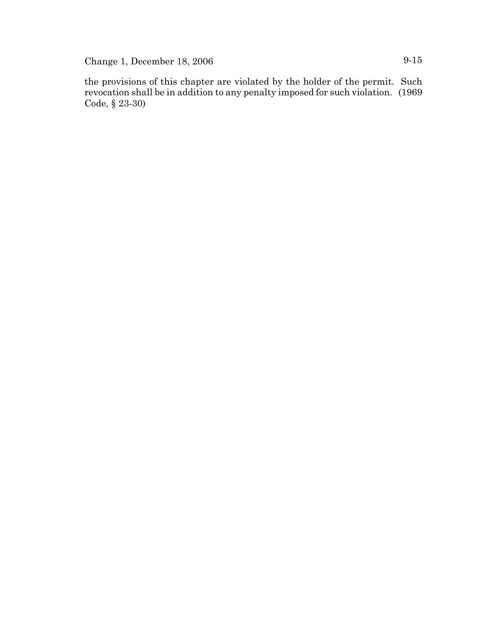Change 1, December 18, 2006 9-15

the provisions of this chapter are violated by the holder of the permit. Such revocation shall be in addition to any penalty imposed for such violation. (1969 Code, § 23-30)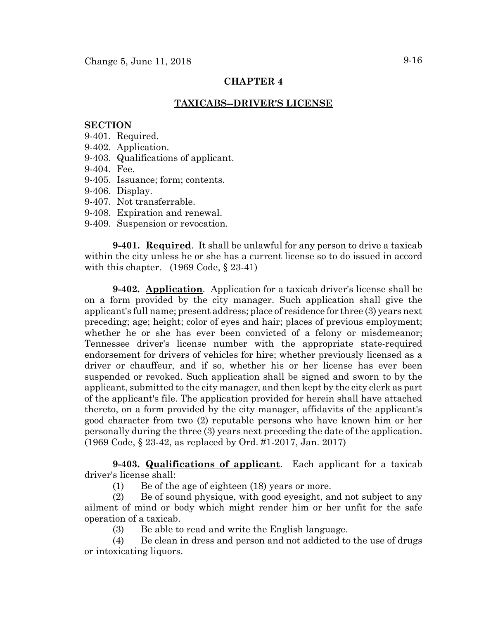## **CHAPTER 4**

## **TAXICABS--DRIVER'S LICENSE**

#### **SECTION**

9-401. Required.

- 9-402. Application.
- 9-403. Qualifications of applicant.
- 9-404. Fee.
- 9-405. Issuance; form; contents.
- 9-406. Display.
- 9-407. Not transferrable.
- 9-408. Expiration and renewal.
- 9-409. Suspension or revocation.

**9-401. Required**. It shall be unlawful for any person to drive a taxicab within the city unless he or she has a current license so to do issued in accord with this chapter. (1969 Code, § 23-41)

**9-402. Application**. Application for a taxicab driver's license shall be on a form provided by the city manager. Such application shall give the applicant's full name; present address; place of residence for three (3) years next preceding; age; height; color of eyes and hair; places of previous employment; whether he or she has ever been convicted of a felony or misdemeanor; Tennessee driver's license number with the appropriate state-required endorsement for drivers of vehicles for hire; whether previously licensed as a driver or chauffeur, and if so, whether his or her license has ever been suspended or revoked. Such application shall be signed and sworn to by the applicant, submitted to the city manager, and then kept by the city clerk as part of the applicant's file. The application provided for herein shall have attached thereto, on a form provided by the city manager, affidavits of the applicant's good character from two (2) reputable persons who have known him or her personally during the three (3) years next preceding the date of the application. (1969 Code, § 23-42, as replaced by Ord. #1-2017, Jan. 2017)

**9-403. Qualifications of applicant**. Each applicant for a taxicab driver's license shall:

(1) Be of the age of eighteen (18) years or more.

(2) Be of sound physique, with good eyesight, and not subject to any ailment of mind or body which might render him or her unfit for the safe operation of a taxicab.

(3) Be able to read and write the English language.

(4) Be clean in dress and person and not addicted to the use of drugs or intoxicating liquors.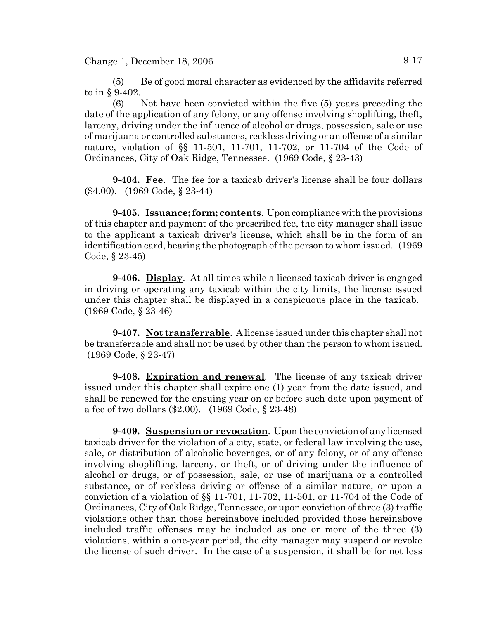$Change 1, December 18, 2006$  9-17

(5) Be of good moral character as evidenced by the affidavits referred to in § 9-402.

(6) Not have been convicted within the five (5) years preceding the date of the application of any felony, or any offense involving shoplifting, theft, larceny, driving under the influence of alcohol or drugs, possession, sale or use of marijuana or controlled substances, reckless driving or an offense of a similar nature, violation of §§ 11-501, 11-701, 11-702, or 11-704 of the Code of Ordinances, City of Oak Ridge, Tennessee. (1969 Code, § 23-43)

**9-404. Fee**. The fee for a taxicab driver's license shall be four dollars (\$4.00). (1969 Code, § 23-44)

**9-405. Issuance; form; contents**. Upon compliance with the provisions of this chapter and payment of the prescribed fee, the city manager shall issue to the applicant a taxicab driver's license, which shall be in the form of an identification card, bearing the photograph of the person to whom issued. (1969 Code, § 23-45)

**9-406. Display**. At all times while a licensed taxicab driver is engaged in driving or operating any taxicab within the city limits, the license issued under this chapter shall be displayed in a conspicuous place in the taxicab. (1969 Code, § 23-46)

**9-407. Not transferrable**. A license issued under this chapter shall not be transferrable and shall not be used by other than the person to whom issued. (1969 Code, § 23-47)

**9-408. Expiration and renewal**. The license of any taxicab driver issued under this chapter shall expire one (1) year from the date issued, and shall be renewed for the ensuing year on or before such date upon payment of a fee of two dollars (\$2.00). (1969 Code, § 23-48)

**9-409. Suspension or revocation**. Upon the conviction of any licensed taxicab driver for the violation of a city, state, or federal law involving the use, sale, or distribution of alcoholic beverages, or of any felony, or of any offense involving shoplifting, larceny, or theft, or of driving under the influence of alcohol or drugs, or of possession, sale, or use of marijuana or a controlled substance, or of reckless driving or offense of a similar nature, or upon a conviction of a violation of §§ 11-701, 11-702, 11-501, or 11-704 of the Code of Ordinances, City of Oak Ridge, Tennessee, or upon conviction of three (3) traffic violations other than those hereinabove included provided those hereinabove included traffic offenses may be included as one or more of the three (3) violations, within a one-year period, the city manager may suspend or revoke the license of such driver. In the case of a suspension, it shall be for not less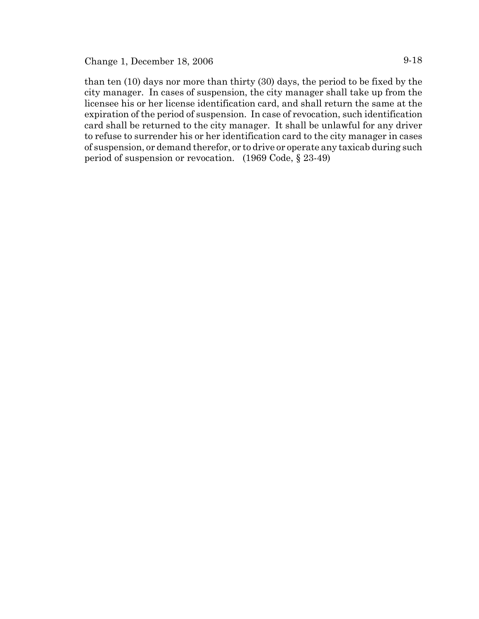than ten (10) days nor more than thirty (30) days, the period to be fixed by the city manager. In cases of suspension, the city manager shall take up from the licensee his or her license identification card, and shall return the same at the expiration of the period of suspension. In case of revocation, such identification card shall be returned to the city manager. It shall be unlawful for any driver to refuse to surrender his or her identification card to the city manager in cases of suspension, or demand therefor, or to drive or operate any taxicab during such period of suspension or revocation. (1969 Code, § 23-49)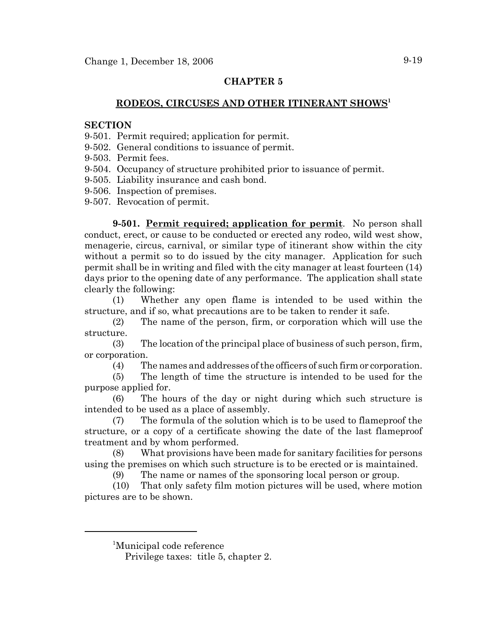## **CHAPTER 5**

# **RODEOS, CIRCUSES AND OTHER ITINERANT SHOWS<sup>1</sup>**

#### **SECTION**

- 9-501. Permit required; application for permit.
- 9-502. General conditions to issuance of permit.
- 9-503. Permit fees.
- 9-504. Occupancy of structure prohibited prior to issuance of permit.
- 9-505. Liability insurance and cash bond.
- 9-506. Inspection of premises.
- 9-507. Revocation of permit.

**9-501. Permit required; application for permit**. No person shall conduct, erect, or cause to be conducted or erected any rodeo, wild west show, menagerie, circus, carnival, or similar type of itinerant show within the city without a permit so to do issued by the city manager. Application for such permit shall be in writing and filed with the city manager at least fourteen (14) days prior to the opening date of any performance. The application shall state clearly the following:

(1) Whether any open flame is intended to be used within the structure, and if so, what precautions are to be taken to render it safe.

(2) The name of the person, firm, or corporation which will use the structure.

(3) The location of the principal place of business of such person, firm, or corporation.

(4) The names and addresses of the officers of such firm or corporation.

(5) The length of time the structure is intended to be used for the purpose applied for.

(6) The hours of the day or night during which such structure is intended to be used as a place of assembly.

(7) The formula of the solution which is to be used to flameproof the structure, or a copy of a certificate showing the date of the last flameproof treatment and by whom performed.

(8) What provisions have been made for sanitary facilities for persons using the premises on which such structure is to be erected or is maintained.

(9) The name or names of the sponsoring local person or group.

(10) That only safety film motion pictures will be used, where motion pictures are to be shown.

1 Municipal code reference

Privilege taxes: title 5, chapter 2.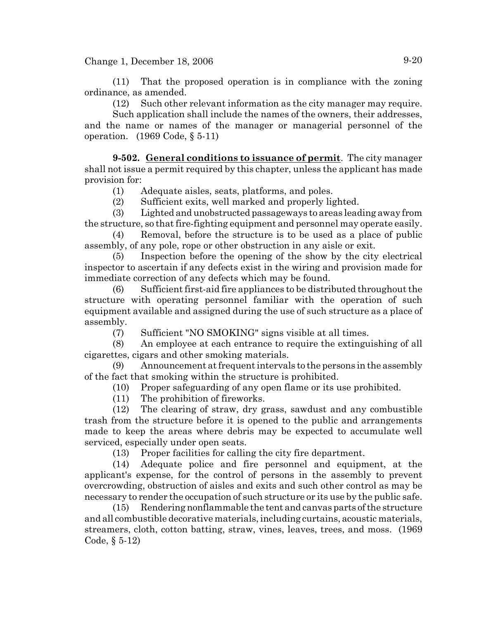$Change 1, December 18, 2006$   $9-20$ 

(11) That the proposed operation is in compliance with the zoning ordinance, as amended.

(12) Such other relevant information as the city manager may require.

Such application shall include the names of the owners, their addresses, and the name or names of the manager or managerial personnel of the operation. (1969 Code, § 5-11)

**9-502. General conditions to issuance of permit**. The city manager shall not issue a permit required by this chapter, unless the applicant has made provision for:

(1) Adequate aisles, seats, platforms, and poles.

(2) Sufficient exits, well marked and properly lighted.

(3) Lighted and unobstructed passageways to areas leading away from the structure, so that fire-fighting equipment and personnel may operate easily.

(4) Removal, before the structure is to be used as a place of public assembly, of any pole, rope or other obstruction in any aisle or exit.

(5) Inspection before the opening of the show by the city electrical inspector to ascertain if any defects exist in the wiring and provision made for immediate correction of any defects which may be found.

(6) Sufficient first-aid fire appliances to be distributed throughout the structure with operating personnel familiar with the operation of such equipment available and assigned during the use of such structure as a place of assembly.

(7) Sufficient "NO SMOKING" signs visible at all times.

(8) An employee at each entrance to require the extinguishing of all cigarettes, cigars and other smoking materials.

(9) Announcement at frequent intervals to the persons in the assembly of the fact that smoking within the structure is prohibited.

(10) Proper safeguarding of any open flame or its use prohibited.

(11) The prohibition of fireworks.

(12) The clearing of straw, dry grass, sawdust and any combustible trash from the structure before it is opened to the public and arrangements made to keep the areas where debris may be expected to accumulate well serviced, especially under open seats.

(13) Proper facilities for calling the city fire department.

(14) Adequate police and fire personnel and equipment, at the applicant's expense, for the control of persons in the assembly to prevent overcrowding, obstruction of aisles and exits and such other control as may be necessary to render the occupation of such structure or its use by the public safe.

(15) Rendering nonflammable the tent and canvas parts of the structure and all combustible decorative materials, including curtains, acoustic materials, streamers, cloth, cotton batting, straw, vines, leaves, trees, and moss. (1969 Code, § 5-12)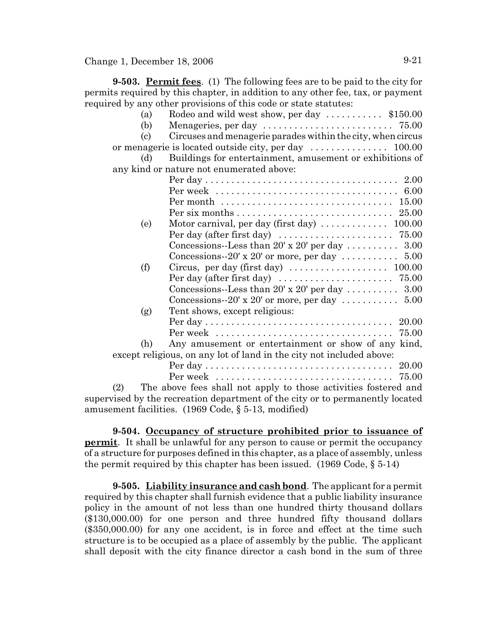**9-503. Permit fees**. (1) The following fees are to be paid to the city for permits required by this chapter, in addition to any other fee, tax, or payment required by any other provisions of this code or state statutes:

|                                                                       | (a)                         | Rodeo and wild west show, per day  \$150.00                                        |
|-----------------------------------------------------------------------|-----------------------------|------------------------------------------------------------------------------------|
|                                                                       | (b)                         |                                                                                    |
|                                                                       | $\left( \mathrm{c} \right)$ | Circuses and menagerie parades within the city, when circus                        |
|                                                                       |                             |                                                                                    |
|                                                                       | (d)                         | Buildings for entertainment, amusement or exhibitions of                           |
| any kind or nature not enumerated above:                              |                             |                                                                                    |
|                                                                       |                             |                                                                                    |
|                                                                       |                             |                                                                                    |
|                                                                       |                             |                                                                                    |
|                                                                       |                             |                                                                                    |
|                                                                       | (e)                         | Motor carnival, per day (first day)  100.00                                        |
|                                                                       |                             | Per day (after first day) $\ldots \ldots \ldots \ldots \ldots \ldots \ldots$ 75.00 |
|                                                                       |                             | Concessions--Less than 20' x 20' per day  3.00                                     |
|                                                                       |                             | Concessions--20' x 20' or more, per day $\dots \dots \dots$ 5.00                   |
|                                                                       | (f)                         |                                                                                    |
|                                                                       |                             | Per day (after first day) $\ldots \ldots \ldots \ldots \ldots \ldots \ldots$ 75.00 |
|                                                                       |                             | Concessions--Less than 20' x 20' per day  3.00                                     |
|                                                                       |                             | Concessions--20' x 20' or more, per day $\dots \dots \dots$ 5.00                   |
|                                                                       | (g)                         | Tent shows, except religious:                                                      |
|                                                                       |                             |                                                                                    |
|                                                                       |                             | 75.00                                                                              |
|                                                                       | (h)                         | Any amusement or entertainment or show of any kind,                                |
| except religious, on any lot of land in the city not included above:  |                             |                                                                                    |
|                                                                       |                             | 20.00                                                                              |
|                                                                       |                             |                                                                                    |
| (2)                                                                   |                             | The above fees shall not apply to those activities fostered and                    |
|                                                                       |                             | supervised by the recreation department of the city or to permanently located      |
| amusement facilities. $(1969 \text{ Code}, \S 5-13, \text{modified})$ |                             |                                                                                    |

**9-504. Occupancy of structure prohibited prior to issuance of permit**. It shall be unlawful for any person to cause or permit the occupancy of a structure for purposes defined in this chapter, as a place of assembly, unless the permit required by this chapter has been issued. (1969 Code, § 5-14)

**9-505. Liability insurance and cash bond**. The applicant for a permit required by this chapter shall furnish evidence that a public liability insurance policy in the amount of not less than one hundred thirty thousand dollars (\$130,000.00) for one person and three hundred fifty thousand dollars (\$350,000.00) for any one accident, is in force and effect at the time such structure is to be occupied as a place of assembly by the public. The applicant shall deposit with the city finance director a cash bond in the sum of three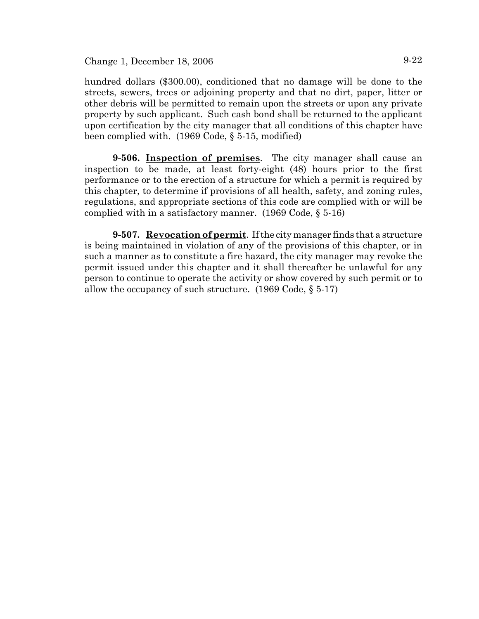### Change 1, December 18, 2006 9-22

hundred dollars (\$300.00), conditioned that no damage will be done to the streets, sewers, trees or adjoining property and that no dirt, paper, litter or other debris will be permitted to remain upon the streets or upon any private property by such applicant. Such cash bond shall be returned to the applicant upon certification by the city manager that all conditions of this chapter have been complied with. (1969 Code, § 5-15, modified)

**9-506. Inspection of premises**. The city manager shall cause an inspection to be made, at least forty-eight (48) hours prior to the first performance or to the erection of a structure for which a permit is required by this chapter, to determine if provisions of all health, safety, and zoning rules, regulations, and appropriate sections of this code are complied with or will be complied with in a satisfactory manner. (1969 Code, § 5-16)

**9-507. Revocation of permit**. If the city manager finds that a structure is being maintained in violation of any of the provisions of this chapter, or in such a manner as to constitute a fire hazard, the city manager may revoke the permit issued under this chapter and it shall thereafter be unlawful for any person to continue to operate the activity or show covered by such permit or to allow the occupancy of such structure. (1969 Code, § 5-17)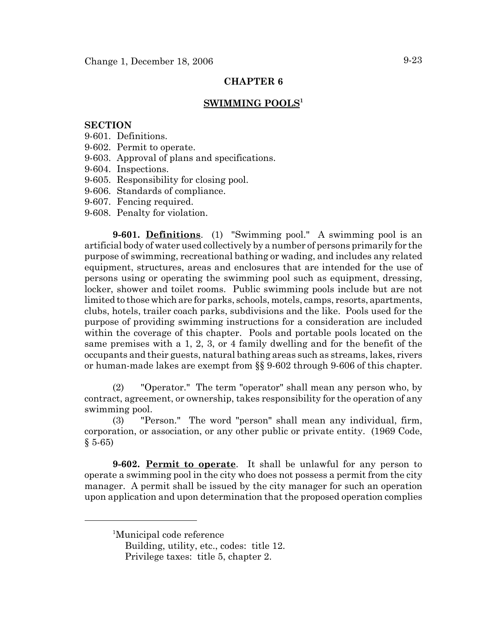## **CHAPTER 6**

### **SWIMMING POOLS1**

### **SECTION**

- 9-601. Definitions.
- 9-602. Permit to operate.
- 9-603. Approval of plans and specifications.
- 9-604. Inspections.
- 9-605. Responsibility for closing pool.
- 9-606. Standards of compliance.
- 9-607. Fencing required.
- 9-608. Penalty for violation.

**9-601. Definitions**. (1) "Swimming pool." A swimming pool is an artificial body of water used collectively by a number of persons primarily for the purpose of swimming, recreational bathing or wading, and includes any related equipment, structures, areas and enclosures that are intended for the use of persons using or operating the swimming pool such as equipment, dressing, locker, shower and toilet rooms. Public swimming pools include but are not limited to those which are for parks, schools, motels, camps, resorts, apartments, clubs, hotels, trailer coach parks, subdivisions and the like. Pools used for the purpose of providing swimming instructions for a consideration are included within the coverage of this chapter. Pools and portable pools located on the same premises with a 1, 2, 3, or 4 family dwelling and for the benefit of the occupants and their guests, natural bathing areas such as streams, lakes, rivers or human-made lakes are exempt from §§ 9-602 through 9-606 of this chapter.

(2) "Operator." The term "operator" shall mean any person who, by contract, agreement, or ownership, takes responsibility for the operation of any swimming pool.

(3) "Person." The word "person" shall mean any individual, firm, corporation, or association, or any other public or private entity. (1969 Code,  $§ 5-65)$ 

**9-602. Permit to operate**. It shall be unlawful for any person to operate a swimming pool in the city who does not possess a permit from the city manager. A permit shall be issued by the city manager for such an operation upon application and upon determination that the proposed operation complies

<sup>&</sup>lt;sup>1</sup>Municipal code reference

Building, utility, etc., codes: title 12. Privilege taxes: title 5, chapter 2.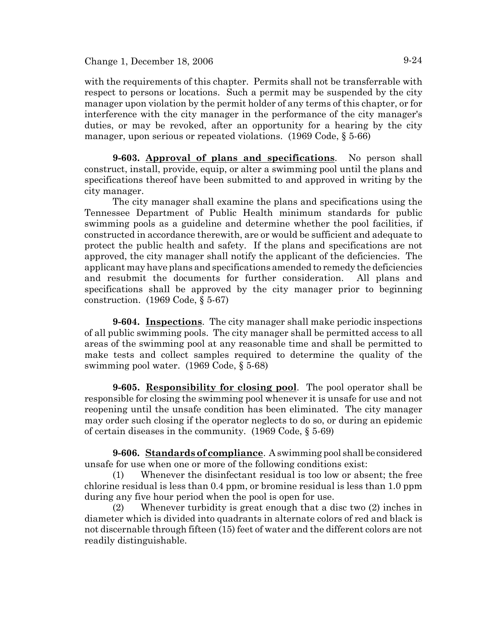with the requirements of this chapter. Permits shall not be transferrable with respect to persons or locations. Such a permit may be suspended by the city manager upon violation by the permit holder of any terms of this chapter, or for interference with the city manager in the performance of the city manager's duties, or may be revoked, after an opportunity for a hearing by the city manager, upon serious or repeated violations. (1969 Code, § 5-66)

**9-603. Approval of plans and specifications**. No person shall construct, install, provide, equip, or alter a swimming pool until the plans and specifications thereof have been submitted to and approved in writing by the city manager.

The city manager shall examine the plans and specifications using the Tennessee Department of Public Health minimum standards for public swimming pools as a guideline and determine whether the pool facilities, if constructed in accordance therewith, are or would be sufficient and adequate to protect the public health and safety. If the plans and specifications are not approved, the city manager shall notify the applicant of the deficiencies. The applicant may have plans and specifications amended to remedy the deficiencies and resubmit the documents for further consideration. All plans and specifications shall be approved by the city manager prior to beginning construction. (1969 Code, § 5-67)

**9-604. Inspections**. The city manager shall make periodic inspections of all public swimming pools. The city manager shall be permitted access to all areas of the swimming pool at any reasonable time and shall be permitted to make tests and collect samples required to determine the quality of the swimming pool water. (1969 Code, § 5-68)

**9-605. Responsibility for closing pool**. The pool operator shall be responsible for closing the swimming pool whenever it is unsafe for use and not reopening until the unsafe condition has been eliminated. The city manager may order such closing if the operator neglects to do so, or during an epidemic of certain diseases in the community. (1969 Code, § 5-69)

**9-606. Standards of compliance**. A swimming pool shall be considered unsafe for use when one or more of the following conditions exist:

(1) Whenever the disinfectant residual is too low or absent; the free chlorine residual is less than 0.4 ppm, or bromine residual is less than 1.0 ppm during any five hour period when the pool is open for use.

(2) Whenever turbidity is great enough that a disc two (2) inches in diameter which is divided into quadrants in alternate colors of red and black is not discernable through fifteen (15) feet of water and the different colors are not readily distinguishable.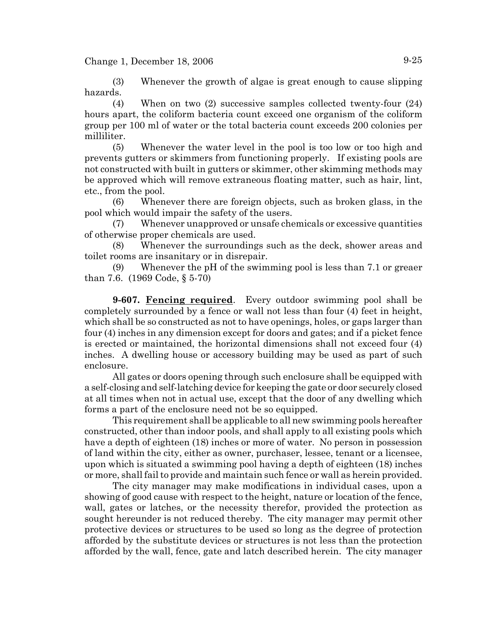$Change 1, December 18, 2006$   $9-25$ 

(3) Whenever the growth of algae is great enough to cause slipping hazards.

(4) When on two (2) successive samples collected twenty-four (24) hours apart, the coliform bacteria count exceed one organism of the coliform group per 100 ml of water or the total bacteria count exceeds 200 colonies per milliliter.

(5) Whenever the water level in the pool is too low or too high and prevents gutters or skimmers from functioning properly. If existing pools are not constructed with built in gutters or skimmer, other skimming methods may be approved which will remove extraneous floating matter, such as hair, lint, etc., from the pool.

(6) Whenever there are foreign objects, such as broken glass, in the pool which would impair the safety of the users.

(7) Whenever unapproved or unsafe chemicals or excessive quantities of otherwise proper chemicals are used.

(8) Whenever the surroundings such as the deck, shower areas and toilet rooms are insanitary or in disrepair.

(9) Whenever the pH of the swimming pool is less than 7.1 or greaer than 7.6. (1969 Code, § 5-70)

**9-607. Fencing required**. Every outdoor swimming pool shall be completely surrounded by a fence or wall not less than four (4) feet in height, which shall be so constructed as not to have openings, holes, or gaps larger than four (4) inches in any dimension except for doors and gates; and if a picket fence is erected or maintained, the horizontal dimensions shall not exceed four (4) inches. A dwelling house or accessory building may be used as part of such enclosure.

All gates or doors opening through such enclosure shall be equipped with a self-closing and self-latching device for keeping the gate or door securely closed at all times when not in actual use, except that the door of any dwelling which forms a part of the enclosure need not be so equipped.

This requirement shall be applicable to all new swimming pools hereafter constructed, other than indoor pools, and shall apply to all existing pools which have a depth of eighteen (18) inches or more of water. No person in possession of land within the city, either as owner, purchaser, lessee, tenant or a licensee, upon which is situated a swimming pool having a depth of eighteen (18) inches or more, shall fail to provide and maintain such fence or wall as herein provided.

The city manager may make modifications in individual cases, upon a showing of good cause with respect to the height, nature or location of the fence, wall, gates or latches, or the necessity therefor, provided the protection as sought hereunder is not reduced thereby. The city manager may permit other protective devices or structures to be used so long as the degree of protection afforded by the substitute devices or structures is not less than the protection afforded by the wall, fence, gate and latch described herein. The city manager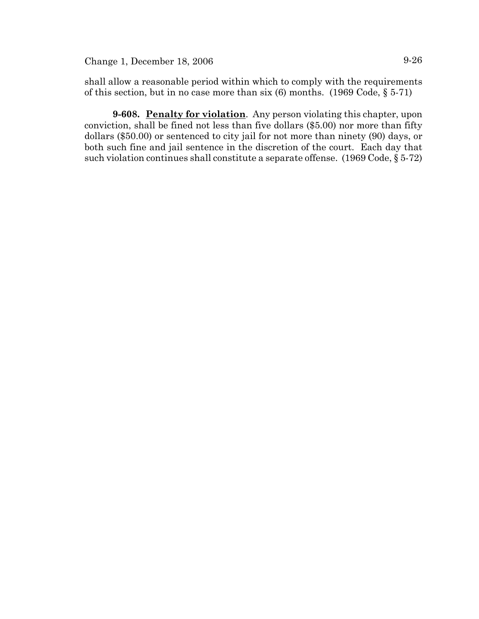Change 1, December 18, 2006 9-26

shall allow a reasonable period within which to comply with the requirements of this section, but in no case more than six  $(6)$  months.  $(1969 \text{ Code}, \S 5-71)$ 

**9-608. Penalty for violation**. Any person violating this chapter, upon conviction, shall be fined not less than five dollars (\$5.00) nor more than fifty dollars (\$50.00) or sentenced to city jail for not more than ninety (90) days, or both such fine and jail sentence in the discretion of the court. Each day that such violation continues shall constitute a separate offense. (1969 Code, § 5-72)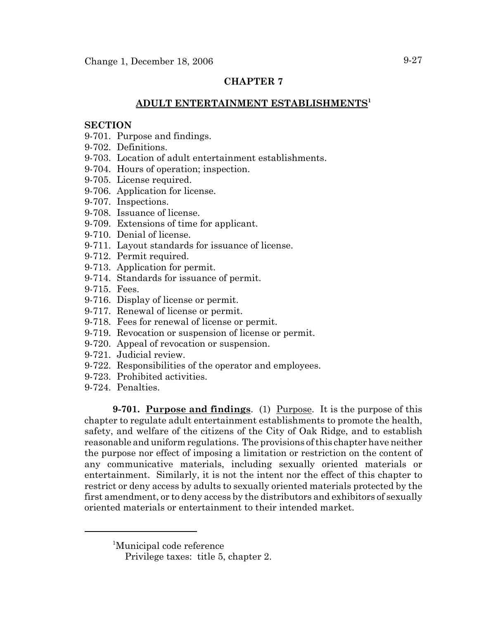# **CHAPTER 7**

## **ADULT ENTERTAINMENT ESTABLISHMENTS<sup>1</sup>**

#### **SECTION**

- 9-701. Purpose and findings.
- 9-702. Definitions.
- 9-703. Location of adult entertainment establishments.
- 9-704. Hours of operation; inspection.
- 9-705. License required.
- 9-706. Application for license.
- 9-707. Inspections.
- 9-708. Issuance of license.
- 9-709. Extensions of time for applicant.
- 9-710. Denial of license.
- 9-711. Layout standards for issuance of license.
- 9-712. Permit required.
- 9-713. Application for permit.
- 9-714. Standards for issuance of permit.
- 9-715. Fees.
- 9-716. Display of license or permit.
- 9-717. Renewal of license or permit.
- 9-718. Fees for renewal of license or permit.
- 9-719. Revocation or suspension of license or permit.
- 9-720. Appeal of revocation or suspension.
- 9-721. Judicial review.
- 9-722. Responsibilities of the operator and employees.
- 9-723. Prohibited activities.
- 9-724. Penalties.

**9-701. Purpose and findings**. (1) Purpose. It is the purpose of this chapter to regulate adult entertainment establishments to promote the health, safety, and welfare of the citizens of the City of Oak Ridge, and to establish reasonable and uniform regulations. The provisions of this chapter have neither the purpose nor effect of imposing a limitation or restriction on the content of any communicative materials, including sexually oriented materials or entertainment. Similarly, it is not the intent nor the effect of this chapter to restrict or deny access by adults to sexually oriented materials protected by the first amendment, or to deny access by the distributors and exhibitors of sexually oriented materials or entertainment to their intended market.

<sup>1</sup> Municipal code reference

Privilege taxes: title 5, chapter 2.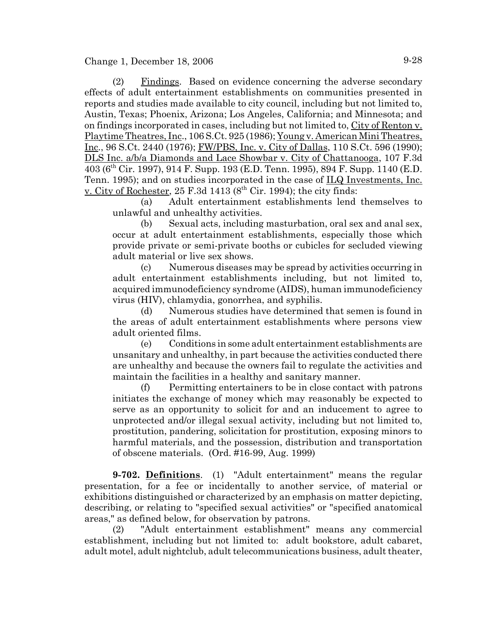(2) Findings. Based on evidence concerning the adverse secondary effects of adult entertainment establishments on communities presented in reports and studies made available to city council, including but not limited to, Austin, Texas; Phoenix, Arizona; Los Angeles, California; and Minnesota; and on findings incorporated in cases, including but not limited to, City of Renton v. Playtime Theatres, Inc., 106 S.Ct. 925 (1986); Young v. American Mini Theatres, Inc., 96 S.Ct. 2440 (1976); FW/PBS, Inc. v. City of Dallas, 110 S.Ct. 596 (1990); DLS Inc. a/b/a Diamonds and Lace Showbar v. City of Chattanooga, 107 F.3d 403 (6th Cir. 1997), 914 F. Supp. 193 (E.D. Tenn. 1995), 894 F. Supp. 1140 (E.D. Tenn. 1995); and on studies incorporated in the case of <u>ILQ Investments, Inc.</u> v. City of Rochester,  $25$  F.3d  $1413$  ( $8<sup>th</sup>$  Cir. 1994); the city finds:

(a) Adult entertainment establishments lend themselves to unlawful and unhealthy activities.

(b) Sexual acts, including masturbation, oral sex and anal sex, occur at adult entertainment establishments, especially those which provide private or semi-private booths or cubicles for secluded viewing adult material or live sex shows.

(c) Numerous diseases may be spread by activities occurring in adult entertainment establishments including, but not limited to, acquired immunodeficiency syndrome (AIDS), human immunodeficiency virus (HIV), chlamydia, gonorrhea, and syphilis.

(d) Numerous studies have determined that semen is found in the areas of adult entertainment establishments where persons view adult oriented films.

(e) Conditions in some adult entertainment establishments are unsanitary and unhealthy, in part because the activities conducted there are unhealthy and because the owners fail to regulate the activities and maintain the facilities in a healthy and sanitary manner.

(f) Permitting entertainers to be in close contact with patrons initiates the exchange of money which may reasonably be expected to serve as an opportunity to solicit for and an inducement to agree to unprotected and/or illegal sexual activity, including but not limited to, prostitution, pandering, solicitation for prostitution, exposing minors to harmful materials, and the possession, distribution and transportation of obscene materials. (Ord. #16-99, Aug. 1999)

**9-702. Definitions**. (1) "Adult entertainment" means the regular presentation, for a fee or incidentally to another service, of material or exhibitions distinguished or characterized by an emphasis on matter depicting, describing, or relating to "specified sexual activities" or "specified anatomical areas," as defined below, for observation by patrons.

(2) "Adult entertainment establishment" means any commercial establishment, including but not limited to: adult bookstore, adult cabaret, adult motel, adult nightclub, adult telecommunications business, adult theater,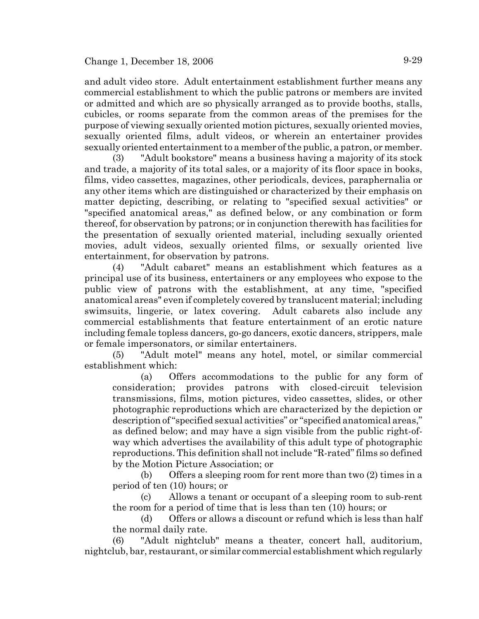and adult video store. Adult entertainment establishment further means any commercial establishment to which the public patrons or members are invited or admitted and which are so physically arranged as to provide booths, stalls, cubicles, or rooms separate from the common areas of the premises for the purpose of viewing sexually oriented motion pictures, sexually oriented movies, sexually oriented films, adult videos, or wherein an entertainer provides sexually oriented entertainment to a member of the public, a patron, or member.

(3) "Adult bookstore" means a business having a majority of its stock and trade, a majority of its total sales, or a majority of its floor space in books, films, video cassettes, magazines, other periodicals, devices, paraphernalia or any other items which are distinguished or characterized by their emphasis on matter depicting, describing, or relating to "specified sexual activities" or "specified anatomical areas," as defined below, or any combination or form thereof, for observation by patrons; or in conjunction therewith has facilities for the presentation of sexually oriented material, including sexually oriented movies, adult videos, sexually oriented films, or sexually oriented live entertainment, for observation by patrons.

(4) "Adult cabaret" means an establishment which features as a principal use of its business, entertainers or any employees who expose to the public view of patrons with the establishment, at any time, "specified anatomical areas" even if completely covered by translucent material; including swimsuits, lingerie, or latex covering. Adult cabarets also include any commercial establishments that feature entertainment of an erotic nature including female topless dancers, go-go dancers, exotic dancers, strippers, male or female impersonators, or similar entertainers.

(5) "Adult motel" means any hotel, motel, or similar commercial establishment which:

(a) Offers accommodations to the public for any form of consideration; provides patrons with closed-circuit television transmissions, films, motion pictures, video cassettes, slides, or other photographic reproductions which are characterized by the depiction or description of "specified sexual activities" or "specified anatomical areas," as defined below; and may have a sign visible from the public right-ofway which advertises the availability of this adult type of photographic reproductions. This definition shall not include "R-rated" films so defined by the Motion Picture Association; or

(b) Offers a sleeping room for rent more than two (2) times in a period of ten (10) hours; or

(c) Allows a tenant or occupant of a sleeping room to sub-rent the room for a period of time that is less than ten (10) hours; or

(d) Offers or allows a discount or refund which is less than half the normal daily rate.

(6) "Adult nightclub" means a theater, concert hall, auditorium, nightclub, bar, restaurant, or similar commercial establishment which regularly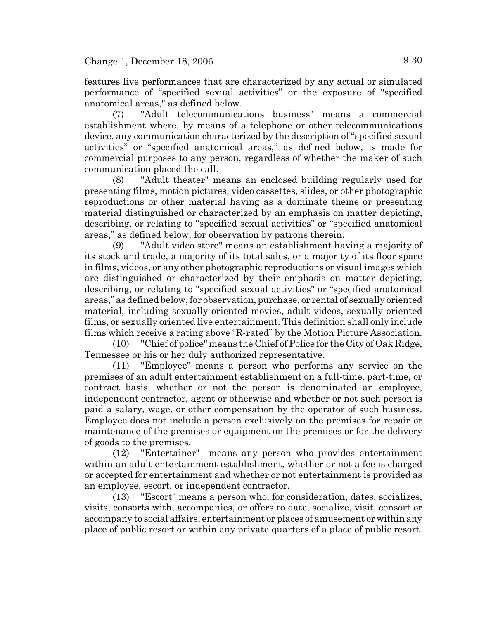features live performances that are characterized by any actual or simulated performance of "specified sexual activities" or the exposure of "specified anatomical areas," as defined below.

(7) "Adult telecommunications business" means a commercial establishment where, by means of a telephone or other telecommunications device, any communication characterized by the description of "specified sexual activities" or "specified anatomical areas," as defined below, is made for commercial purposes to any person, regardless of whether the maker of such communication placed the call.

(8) "Adult theater" means an enclosed building regularly used for presenting films, motion pictures, video cassettes, slides, or other photographic reproductions or other material having as a dominate theme or presenting material distinguished or characterized by an emphasis on matter depicting, describing, or relating to "specified sexual activities" or "specified anatomical areas," as defined below, for observation by patrons therein.

(9) "Adult video store" means an establishment having a majority of its stock and trade, a majority of its total sales, or a majority of its floor space in films, videos, or any other photographic reproductions or visual images which are distinguished or characterized by their emphasis on matter depicting, describing, or relating to "specified sexual activities" or "specified anatomical areas," as defined below, for observation, purchase, or rental of sexually oriented material, including sexually oriented movies, adult videos, sexually oriented films, or sexually oriented live entertainment. This definition shall only include films which receive a rating above "R-rated" by the Motion Picture Association.

(10) "Chief of police" means the Chief of Police for the City of Oak Ridge, Tennessee or his or her duly authorized representative.

(11) "Employee" means a person who performs any service on the premises of an adult entertainment establishment on a full-time, part-time, or contract basis, whether or not the person is denominated an employee, independent contractor, agent or otherwise and whether or not such person is paid a salary, wage, or other compensation by the operator of such business. Employee does not include a person exclusively on the premises for repair or maintenance of the premises or equipment on the premises or for the delivery of goods to the premises.

(12) "Entertainer" means any person who provides entertainment within an adult entertainment establishment, whether or not a fee is charged or accepted for entertainment and whether or not entertainment is provided as an employee, escort, or independent contractor.

(13) "Escort" means a person who, for consideration, dates, socializes, visits, consorts with, accompanies, or offers to date, socialize, visit, consort or accompany to social affairs, entertainment or places of amusement or within any place of public resort or within any private quarters of a place of public resort.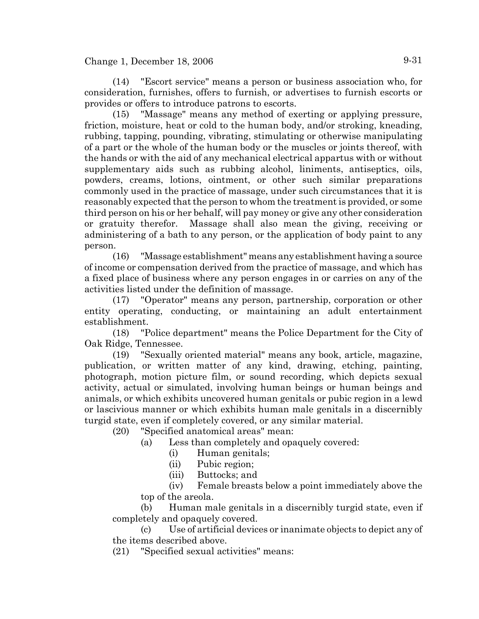(14) "Escort service" means a person or business association who, for consideration, furnishes, offers to furnish, or advertises to furnish escorts or provides or offers to introduce patrons to escorts.

(15) "Massage" means any method of exerting or applying pressure, friction, moisture, heat or cold to the human body, and/or stroking, kneading, rubbing, tapping, pounding, vibrating, stimulating or otherwise manipulating of a part or the whole of the human body or the muscles or joints thereof, with the hands or with the aid of any mechanical electrical appartus with or without supplementary aids such as rubbing alcohol, liniments, antiseptics, oils, powders, creams, lotions, ointment, or other such similar preparations commonly used in the practice of massage, under such circumstances that it is reasonably expected that the person to whom the treatment is provided, or some third person on his or her behalf, will pay money or give any other consideration or gratuity therefor. Massage shall also mean the giving, receiving or administering of a bath to any person, or the application of body paint to any person.

(16) "Massage establishment" means any establishment having a source of income or compensation derived from the practice of massage, and which has a fixed place of business where any person engages in or carries on any of the activities listed under the definition of massage.

(17) "Operator" means any person, partnership, corporation or other entity operating, conducting, or maintaining an adult entertainment establishment.

(18) "Police department" means the Police Department for the City of Oak Ridge, Tennessee.

(19) "Sexually oriented material" means any book, article, magazine, publication, or written matter of any kind, drawing, etching, painting, photograph, motion picture film, or sound recording, which depicts sexual activity, actual or simulated, involving human beings or human beings and animals, or which exhibits uncovered human genitals or pubic region in a lewd or lascivious manner or which exhibits human male genitals in a discernibly turgid state, even if completely covered, or any similar material.

(20) "Specified anatomical areas" mean:

- (a) Less than completely and opaquely covered:
	- (i) Human genitals;
	- (ii) Pubic region;
	- (iii) Buttocks; and

(iv) Female breasts below a point immediately above the top of the areola.

(b) Human male genitals in a discernibly turgid state, even if completely and opaquely covered.

(c) Use of artificial devices or inanimate objects to depict any of the items described above.

(21) "Specified sexual activities" means: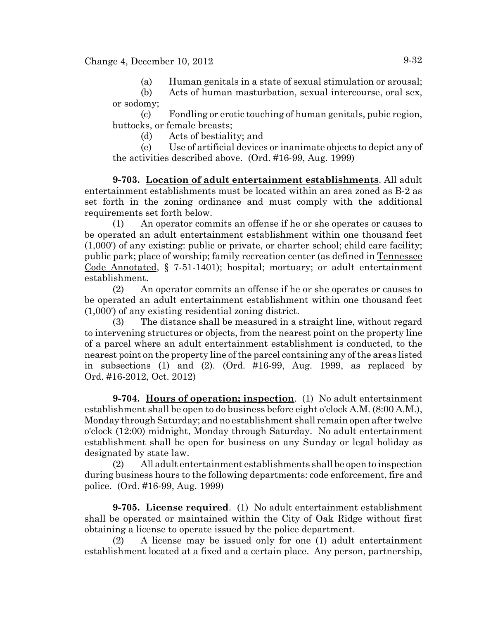(a) Human genitals in a state of sexual stimulation or arousal;

(b) Acts of human masturbation, sexual intercourse, oral sex, or sodomy;

(c) Fondling or erotic touching of human genitals, pubic region, buttocks, or female breasts;

(d) Acts of bestiality; and

(e) Use of artificial devices or inanimate objects to depict any of the activities described above. (Ord. #16-99, Aug. 1999)

**9-703. Location of adult entertainment establishments**. All adult entertainment establishments must be located within an area zoned as B-2 as set forth in the zoning ordinance and must comply with the additional requirements set forth below.

(1) An operator commits an offense if he or she operates or causes to be operated an adult entertainment establishment within one thousand feet (1,000') of any existing: public or private, or charter school; child care facility; public park; place of worship; family recreation center (as defined in Tennessee Code Annotated, § 7-51-1401); hospital; mortuary; or adult entertainment establishment.

(2) An operator commits an offense if he or she operates or causes to be operated an adult entertainment establishment within one thousand feet (1,000') of any existing residential zoning district.

(3) The distance shall be measured in a straight line, without regard to intervening structures or objects, from the nearest point on the property line of a parcel where an adult entertainment establishment is conducted, to the nearest point on the property line of the parcel containing any of the areas listed in subsections (1) and (2). (Ord. #16-99, Aug. 1999, as replaced by Ord. #16-2012, Oct. 2012)

**9-704. Hours of operation; inspection**. (1) No adult entertainment establishment shall be open to do business before eight o'clock A.M. (8:00 A.M.), Monday through Saturday; and no establishment shall remain open after twelve o'clock (12:00) midnight, Monday through Saturday. No adult entertainment establishment shall be open for business on any Sunday or legal holiday as designated by state law.

(2) All adult entertainment establishments shall be open to inspection during business hours to the following departments: code enforcement, fire and police. (Ord. #16-99, Aug. 1999)

**9-705. License required**. (1) No adult entertainment establishment shall be operated or maintained within the City of Oak Ridge without first obtaining a license to operate issued by the police department.

(2) A license may be issued only for one (1) adult entertainment establishment located at a fixed and a certain place. Any person, partnership,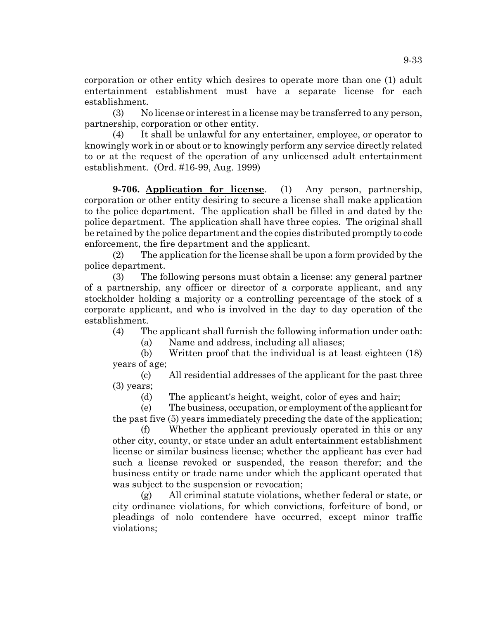corporation or other entity which desires to operate more than one (1) adult entertainment establishment must have a separate license for each establishment.

(3) No license or interest in a license may be transferred to any person, partnership, corporation or other entity.

(4) It shall be unlawful for any entertainer, employee, or operator to knowingly work in or about or to knowingly perform any service directly related to or at the request of the operation of any unlicensed adult entertainment establishment. (Ord. #16-99, Aug. 1999)

**9-706. Application for license**. (1) Any person, partnership, corporation or other entity desiring to secure a license shall make application to the police department. The application shall be filled in and dated by the police department. The application shall have three copies. The original shall be retained by the police department and the copies distributed promptly to code enforcement, the fire department and the applicant.

(2) The application for the license shall be upon a form provided by the police department.

(3) The following persons must obtain a license: any general partner of a partnership, any officer or director of a corporate applicant, and any stockholder holding a majority or a controlling percentage of the stock of a corporate applicant, and who is involved in the day to day operation of the establishment.

(4) The applicant shall furnish the following information under oath:

(a) Name and address, including all aliases;

(b) Written proof that the individual is at least eighteen (18) years of age;

(c) All residential addresses of the applicant for the past three (3) years;

(d) The applicant's height, weight, color of eyes and hair;

(e) The business, occupation, or employment of the applicant for the past five (5) years immediately preceding the date of the application;

(f) Whether the applicant previously operated in this or any other city, county, or state under an adult entertainment establishment license or similar business license; whether the applicant has ever had such a license revoked or suspended, the reason therefor; and the business entity or trade name under which the applicant operated that was subject to the suspension or revocation;

(g) All criminal statute violations, whether federal or state, or city ordinance violations, for which convictions, forfeiture of bond, or pleadings of nolo contendere have occurred, except minor traffic violations;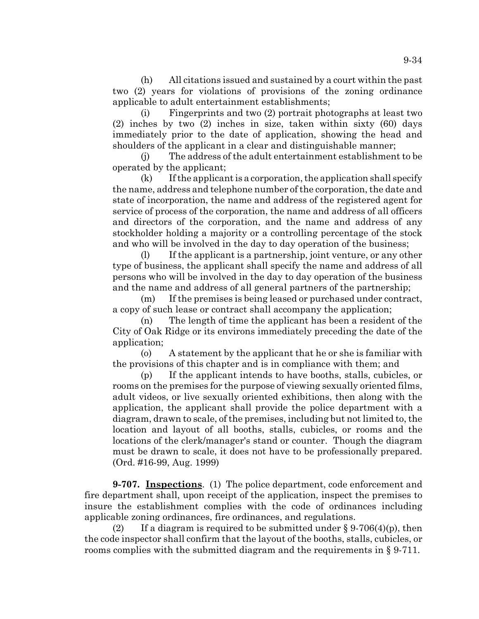(h) All citations issued and sustained by a court within the past two (2) years for violations of provisions of the zoning ordinance applicable to adult entertainment establishments;

(i) Fingerprints and two (2) portrait photographs at least two (2) inches by two (2) inches in size, taken within sixty (60) days immediately prior to the date of application, showing the head and shoulders of the applicant in a clear and distinguishable manner;

(j) The address of the adult entertainment establishment to be operated by the applicant;

(k) If the applicant is a corporation, the application shall specify the name, address and telephone number of the corporation, the date and state of incorporation, the name and address of the registered agent for service of process of the corporation, the name and address of all officers and directors of the corporation, and the name and address of any stockholder holding a majority or a controlling percentage of the stock and who will be involved in the day to day operation of the business;

(l) If the applicant is a partnership, joint venture, or any other type of business, the applicant shall specify the name and address of all persons who will be involved in the day to day operation of the business and the name and address of all general partners of the partnership;

(m) If the premises is being leased or purchased under contract, a copy of such lease or contract shall accompany the application;

(n) The length of time the applicant has been a resident of the City of Oak Ridge or its environs immediately preceding the date of the application;

(o) A statement by the applicant that he or she is familiar with the provisions of this chapter and is in compliance with them; and

(p) If the applicant intends to have booths, stalls, cubicles, or rooms on the premises for the purpose of viewing sexually oriented films, adult videos, or live sexually oriented exhibitions, then along with the application, the applicant shall provide the police department with a diagram, drawn to scale, of the premises, including but not limited to, the location and layout of all booths, stalls, cubicles, or rooms and the locations of the clerk/manager's stand or counter. Though the diagram must be drawn to scale, it does not have to be professionally prepared. (Ord. #16-99, Aug. 1999)

**9-707. Inspections**. (1) The police department, code enforcement and fire department shall, upon receipt of the application, inspect the premises to insure the establishment complies with the code of ordinances including applicable zoning ordinances, fire ordinances, and regulations.

(2) If a diagram is required to be submitted under  $\S 9-706(4)(p)$ , then the code inspector shall confirm that the layout of the booths, stalls, cubicles, or rooms complies with the submitted diagram and the requirements in § 9-711.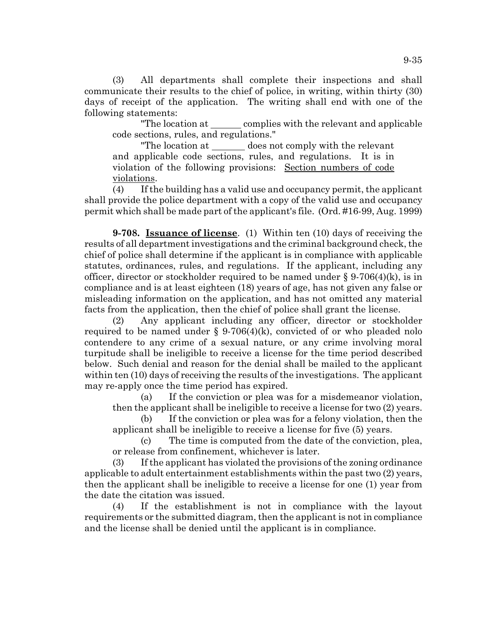(3) All departments shall complete their inspections and shall communicate their results to the chief of police, in writing, within thirty (30) days of receipt of the application. The writing shall end with one of the following statements:

"The location at complies with the relevant and applicable code sections, rules, and regulations."

"The location at does not comply with the relevant and applicable code sections, rules, and regulations. It is in violation of the following provisions: Section numbers of code violations.

(4) If the building has a valid use and occupancy permit, the applicant shall provide the police department with a copy of the valid use and occupancy permit which shall be made part of the applicant's file. (Ord. #16-99, Aug. 1999)

**9-708. Issuance of license**. (1) Within ten (10) days of receiving the results of all department investigations and the criminal background check, the chief of police shall determine if the applicant is in compliance with applicable statutes, ordinances, rules, and regulations. If the applicant, including any officer, director or stockholder required to be named under  $\S 9-706(4)(k)$ , is in compliance and is at least eighteen (18) years of age, has not given any false or misleading information on the application, and has not omitted any material facts from the application, then the chief of police shall grant the license.

(2) Any applicant including any officer, director or stockholder required to be named under  $\S 9-706(4)$ (k), convicted of or who pleaded nolo contendere to any crime of a sexual nature, or any crime involving moral turpitude shall be ineligible to receive a license for the time period described below. Such denial and reason for the denial shall be mailed to the applicant within ten (10) days of receiving the results of the investigations. The applicant may re-apply once the time period has expired.

(a) If the conviction or plea was for a misdemeanor violation, then the applicant shall be ineligible to receive a license for two (2) years.

(b) If the conviction or plea was for a felony violation, then the applicant shall be ineligible to receive a license for five (5) years.

(c) The time is computed from the date of the conviction, plea, or release from confinement, whichever is later.

(3) If the applicant has violated the provisions of the zoning ordinance applicable to adult entertainment establishments within the past two (2) years, then the applicant shall be ineligible to receive a license for one (1) year from the date the citation was issued.

(4) If the establishment is not in compliance with the layout requirements or the submitted diagram, then the applicant is not in compliance and the license shall be denied until the applicant is in compliance.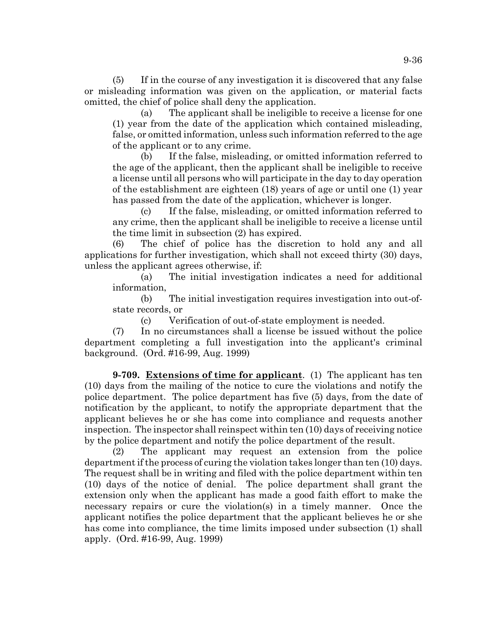(5) If in the course of any investigation it is discovered that any false or misleading information was given on the application, or material facts omitted, the chief of police shall deny the application.

(a) The applicant shall be ineligible to receive a license for one (1) year from the date of the application which contained misleading, false, or omitted information, unless such information referred to the age of the applicant or to any crime.

(b) If the false, misleading, or omitted information referred to the age of the applicant, then the applicant shall be ineligible to receive a license until all persons who will participate in the day to day operation of the establishment are eighteen (18) years of age or until one (1) year has passed from the date of the application, whichever is longer.

(c) If the false, misleading, or omitted information referred to any crime, then the applicant shall be ineligible to receive a license until the time limit in subsection (2) has expired.

(6) The chief of police has the discretion to hold any and all applications for further investigation, which shall not exceed thirty (30) days, unless the applicant agrees otherwise, if:

(a) The initial investigation indicates a need for additional information,

(b) The initial investigation requires investigation into out-ofstate records, or

(c) Verification of out-of-state employment is needed.

(7) In no circumstances shall a license be issued without the police department completing a full investigation into the applicant's criminal background. (Ord. #16-99, Aug. 1999)

**9-709. Extensions of time for applicant**. (1) The applicant has ten (10) days from the mailing of the notice to cure the violations and notify the police department. The police department has five (5) days, from the date of notification by the applicant, to notify the appropriate department that the applicant believes he or she has come into compliance and requests another inspection. The inspector shall reinspect within ten (10) days of receiving notice by the police department and notify the police department of the result.

(2) The applicant may request an extension from the police department if the process of curing the violation takes longer than ten (10) days. The request shall be in writing and filed with the police department within ten (10) days of the notice of denial. The police department shall grant the extension only when the applicant has made a good faith effort to make the necessary repairs or cure the violation(s) in a timely manner. Once the applicant notifies the police department that the applicant believes he or she has come into compliance, the time limits imposed under subsection (1) shall apply. (Ord. #16-99, Aug. 1999)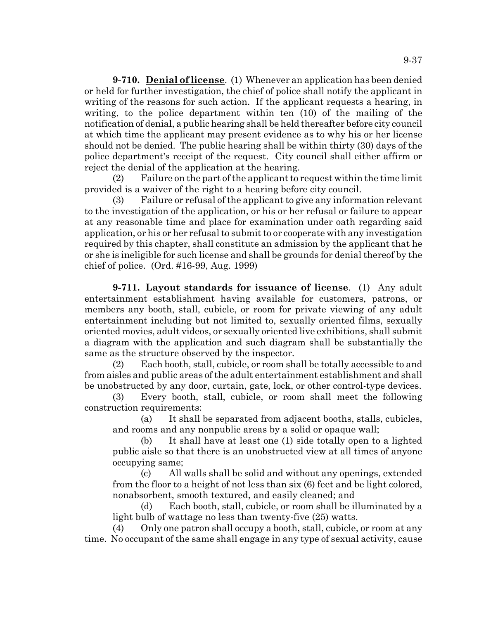**9-710. Denial of license**. (1) Whenever an application has been denied or held for further investigation, the chief of police shall notify the applicant in writing of the reasons for such action. If the applicant requests a hearing, in writing, to the police department within ten (10) of the mailing of the notification of denial, a public hearing shall be held thereafter before city council at which time the applicant may present evidence as to why his or her license should not be denied. The public hearing shall be within thirty (30) days of the police department's receipt of the request. City council shall either affirm or reject the denial of the application at the hearing.

(2) Failure on the part of the applicant to request within the time limit provided is a waiver of the right to a hearing before city council.

(3) Failure or refusal of the applicant to give any information relevant to the investigation of the application, or his or her refusal or failure to appear at any reasonable time and place for examination under oath regarding said application, or his or her refusal to submit to or cooperate with any investigation required by this chapter, shall constitute an admission by the applicant that he or she is ineligible for such license and shall be grounds for denial thereof by the chief of police. (Ord. #16-99, Aug. 1999)

**9-711. Layout standards for issuance of license**. (1) Any adult entertainment establishment having available for customers, patrons, or members any booth, stall, cubicle, or room for private viewing of any adult entertainment including but not limited to, sexually oriented films, sexually oriented movies, adult videos, or sexually oriented live exhibitions, shall submit a diagram with the application and such diagram shall be substantially the same as the structure observed by the inspector.

(2) Each booth, stall, cubicle, or room shall be totally accessible to and from aisles and public areas of the adult entertainment establishment and shall be unobstructed by any door, curtain, gate, lock, or other control-type devices.

(3) Every booth, stall, cubicle, or room shall meet the following construction requirements:

(a) It shall be separated from adjacent booths, stalls, cubicles, and rooms and any nonpublic areas by a solid or opaque wall;

(b) It shall have at least one (1) side totally open to a lighted public aisle so that there is an unobstructed view at all times of anyone occupying same;

(c) All walls shall be solid and without any openings, extended from the floor to a height of not less than six (6) feet and be light colored, nonabsorbent, smooth textured, and easily cleaned; and

(d) Each booth, stall, cubicle, or room shall be illuminated by a light bulb of wattage no less than twenty-five (25) watts.

(4) Only one patron shall occupy a booth, stall, cubicle, or room at any time. No occupant of the same shall engage in any type of sexual activity, cause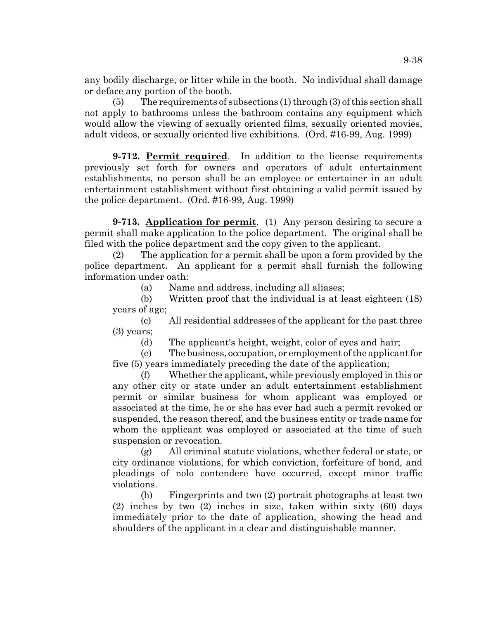any bodily discharge, or litter while in the booth. No individual shall damage or deface any portion of the booth.

 $(5)$  The requirements of subsections  $(1)$  through  $(3)$  of this section shall not apply to bathrooms unless the bathroom contains any equipment which would allow the viewing of sexually oriented films, sexually oriented movies, adult videos, or sexually oriented live exhibitions. (Ord. #16-99, Aug. 1999)

**9-712. Permit required**. In addition to the license requirements previously set forth for owners and operators of adult entertainment establishments, no person shall be an employee or entertainer in an adult entertainment establishment without first obtaining a valid permit issued by the police department. (Ord. #16-99, Aug. 1999)

**9-713. Application for permit.** (1) Any person desiring to secure a permit shall make application to the police department. The original shall be filed with the police department and the copy given to the applicant.

(2) The application for a permit shall be upon a form provided by the police department. An applicant for a permit shall furnish the following information under oath:

(a) Name and address, including all aliases;

(b) Written proof that the individual is at least eighteen (18) years of age;

(c) All residential addresses of the applicant for the past three (3) years;

(d) The applicant's height, weight, color of eyes and hair;

(e) The business, occupation, or employment of the applicant for five (5) years immediately preceding the date of the application;

(f) Whether the applicant, while previously employed in this or any other city or state under an adult entertainment establishment permit or similar business for whom applicant was employed or associated at the time, he or she has ever had such a permit revoked or suspended, the reason thereof, and the business entity or trade name for whom the applicant was employed or associated at the time of such suspension or revocation.

(g) All criminal statute violations, whether federal or state, or city ordinance violations, for which conviction, forfeiture of bond, and pleadings of nolo contendere have occurred, except minor traffic violations.

(h) Fingerprints and two (2) portrait photographs at least two (2) inches by two (2) inches in size, taken within sixty (60) days immediately prior to the date of application, showing the head and shoulders of the applicant in a clear and distinguishable manner.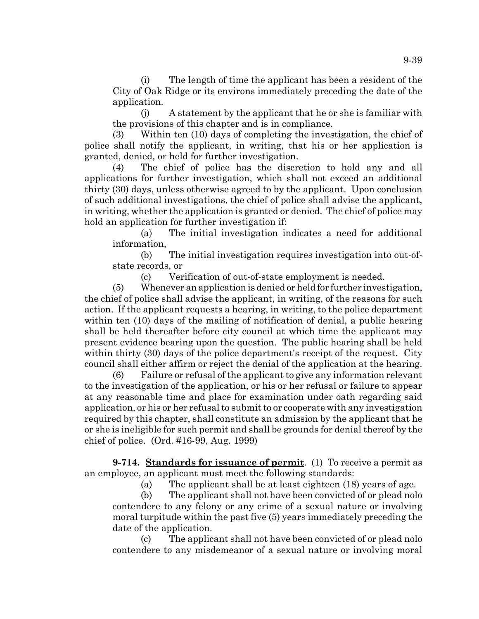(i) The length of time the applicant has been a resident of the City of Oak Ridge or its environs immediately preceding the date of the application.

(j) A statement by the applicant that he or she is familiar with the provisions of this chapter and is in compliance.

(3) Within ten (10) days of completing the investigation, the chief of police shall notify the applicant, in writing, that his or her application is granted, denied, or held for further investigation.

(4) The chief of police has the discretion to hold any and all applications for further investigation, which shall not exceed an additional thirty (30) days, unless otherwise agreed to by the applicant. Upon conclusion of such additional investigations, the chief of police shall advise the applicant, in writing, whether the application is granted or denied. The chief of police may hold an application for further investigation if:

(a) The initial investigation indicates a need for additional information,

(b) The initial investigation requires investigation into out-ofstate records, or

(c) Verification of out-of-state employment is needed.

(5) Whenever an application is denied or held for further investigation, the chief of police shall advise the applicant, in writing, of the reasons for such action. If the applicant requests a hearing, in writing, to the police department within ten (10) days of the mailing of notification of denial, a public hearing shall be held thereafter before city council at which time the applicant may present evidence bearing upon the question. The public hearing shall be held within thirty (30) days of the police department's receipt of the request. City council shall either affirm or reject the denial of the application at the hearing.

(6) Failure or refusal of the applicant to give any information relevant to the investigation of the application, or his or her refusal or failure to appear at any reasonable time and place for examination under oath regarding said application, or his or her refusal to submit to or cooperate with any investigation required by this chapter, shall constitute an admission by the applicant that he or she is ineligible for such permit and shall be grounds for denial thereof by the chief of police. (Ord. #16-99, Aug. 1999)

**9-714. Standards for issuance of permit**. (1) To receive a permit as an employee, an applicant must meet the following standards:

(a) The applicant shall be at least eighteen (18) years of age.

(b) The applicant shall not have been convicted of or plead nolo contendere to any felony or any crime of a sexual nature or involving moral turpitude within the past five (5) years immediately preceding the date of the application.

(c) The applicant shall not have been convicted of or plead nolo contendere to any misdemeanor of a sexual nature or involving moral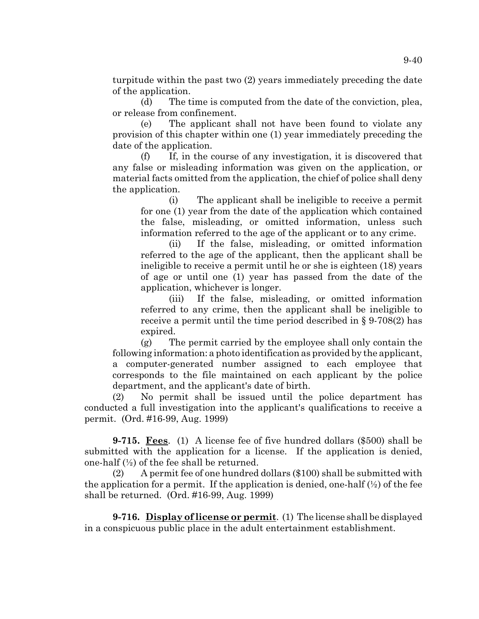turpitude within the past two (2) years immediately preceding the date of the application.

(d) The time is computed from the date of the conviction, plea, or release from confinement.

(e) The applicant shall not have been found to violate any provision of this chapter within one (1) year immediately preceding the date of the application.

(f) If, in the course of any investigation, it is discovered that any false or misleading information was given on the application, or material facts omitted from the application, the chief of police shall deny the application.

(i) The applicant shall be ineligible to receive a permit for one (1) year from the date of the application which contained the false, misleading, or omitted information, unless such information referred to the age of the applicant or to any crime.

(ii) If the false, misleading, or omitted information referred to the age of the applicant, then the applicant shall be ineligible to receive a permit until he or she is eighteen (18) years of age or until one (1) year has passed from the date of the application, whichever is longer.

(iii) If the false, misleading, or omitted information referred to any crime, then the applicant shall be ineligible to receive a permit until the time period described in § 9-708(2) has expired.

(g) The permit carried by the employee shall only contain the following information: a photo identification as provided by the applicant, a computer-generated number assigned to each employee that corresponds to the file maintained on each applicant by the police department, and the applicant's date of birth.

(2) No permit shall be issued until the police department has conducted a full investigation into the applicant's qualifications to receive a permit. (Ord. #16-99, Aug. 1999)

**9-715. Fees**. (1) A license fee of five hundred dollars (\$500) shall be submitted with the application for a license. If the application is denied, one-half  $(\frac{1}{2})$  of the fee shall be returned.

(2) A permit fee of one hundred dollars (\$100) shall be submitted with the application for a permit. If the application is denied, one-half  $(\frac{1}{2})$  of the fee shall be returned. (Ord. #16-99, Aug. 1999)

**9-716. Display of license or permit**. (1) The license shall be displayed in a conspicuous public place in the adult entertainment establishment.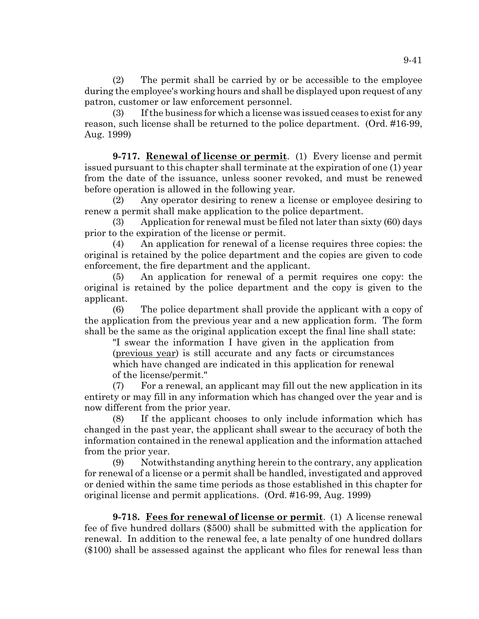(2) The permit shall be carried by or be accessible to the employee during the employee's working hours and shall be displayed upon request of any patron, customer or law enforcement personnel.

(3) If the business for which a license was issued ceases to exist for any reason, such license shall be returned to the police department. (Ord. #16-99, Aug. 1999)

**9-717. Renewal of license or permit**. (1) Every license and permit issued pursuant to this chapter shall terminate at the expiration of one (1) year from the date of the issuance, unless sooner revoked, and must be renewed before operation is allowed in the following year.

(2) Any operator desiring to renew a license or employee desiring to renew a permit shall make application to the police department.

(3) Application for renewal must be filed not later than sixty (60) days prior to the expiration of the license or permit.

(4) An application for renewal of a license requires three copies: the original is retained by the police department and the copies are given to code enforcement, the fire department and the applicant.

(5) An application for renewal of a permit requires one copy: the original is retained by the police department and the copy is given to the applicant.

(6) The police department shall provide the applicant with a copy of the application from the previous year and a new application form. The form shall be the same as the original application except the final line shall state:

"I swear the information I have given in the application from (previous year) is still accurate and any facts or circumstances which have changed are indicated in this application for renewal of the license/permit."

(7) For a renewal, an applicant may fill out the new application in its entirety or may fill in any information which has changed over the year and is now different from the prior year.

(8) If the applicant chooses to only include information which has changed in the past year, the applicant shall swear to the accuracy of both the information contained in the renewal application and the information attached from the prior year.

(9) Notwithstanding anything herein to the contrary, any application for renewal of a license or a permit shall be handled, investigated and approved or denied within the same time periods as those established in this chapter for original license and permit applications. (Ord. #16-99, Aug. 1999)

**9-718. Fees for renewal of license or permit**. (1) A license renewal fee of five hundred dollars (\$500) shall be submitted with the application for renewal. In addition to the renewal fee, a late penalty of one hundred dollars (\$100) shall be assessed against the applicant who files for renewal less than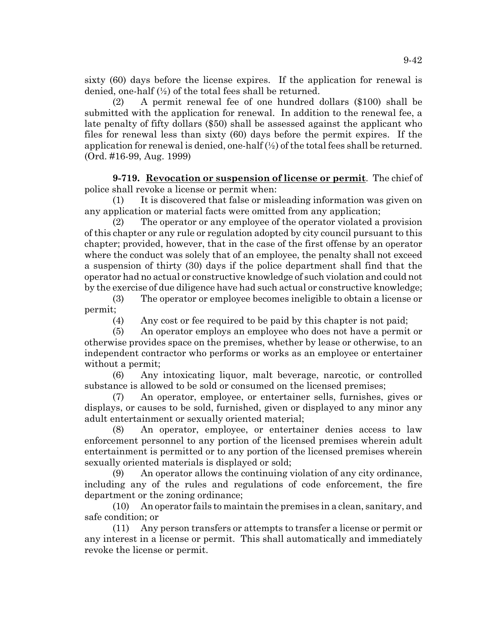sixty (60) days before the license expires. If the application for renewal is denied, one-half (½) of the total fees shall be returned.

(2) A permit renewal fee of one hundred dollars (\$100) shall be submitted with the application for renewal. In addition to the renewal fee, a late penalty of fifty dollars (\$50) shall be assessed against the applicant who files for renewal less than sixty (60) days before the permit expires. If the application for renewal is denied, one-half  $(\frac{1}{2})$  of the total fees shall be returned. (Ord. #16-99, Aug. 1999)

**9-719. Revocation or suspension of license or permit**. The chief of police shall revoke a license or permit when:

(1) It is discovered that false or misleading information was given on any application or material facts were omitted from any application;

(2) The operator or any employee of the operator violated a provision of this chapter or any rule or regulation adopted by city council pursuant to this chapter; provided, however, that in the case of the first offense by an operator where the conduct was solely that of an employee, the penalty shall not exceed a suspension of thirty (30) days if the police department shall find that the operator had no actual or constructive knowledge of such violation and could not by the exercise of due diligence have had such actual or constructive knowledge;

(3) The operator or employee becomes ineligible to obtain a license or permit;

(4) Any cost or fee required to be paid by this chapter is not paid;

(5) An operator employs an employee who does not have a permit or otherwise provides space on the premises, whether by lease or otherwise, to an independent contractor who performs or works as an employee or entertainer without a permit;

(6) Any intoxicating liquor, malt beverage, narcotic, or controlled substance is allowed to be sold or consumed on the licensed premises;

(7) An operator, employee, or entertainer sells, furnishes, gives or displays, or causes to be sold, furnished, given or displayed to any minor any adult entertainment or sexually oriented material;

(8) An operator, employee, or entertainer denies access to law enforcement personnel to any portion of the licensed premises wherein adult entertainment is permitted or to any portion of the licensed premises wherein sexually oriented materials is displayed or sold;

(9) An operator allows the continuing violation of any city ordinance, including any of the rules and regulations of code enforcement, the fire department or the zoning ordinance;

(10) An operator fails to maintain the premises in a clean, sanitary, and safe condition; or

(11) Any person transfers or attempts to transfer a license or permit or any interest in a license or permit. This shall automatically and immediately revoke the license or permit.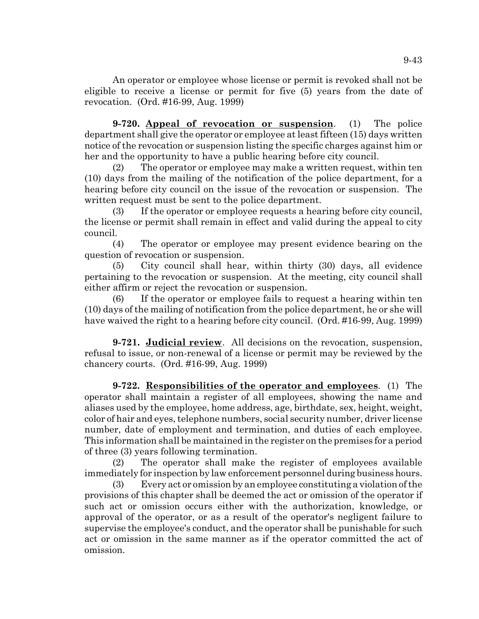An operator or employee whose license or permit is revoked shall not be eligible to receive a license or permit for five (5) years from the date of revocation. (Ord. #16-99, Aug. 1999)

**9-720. Appeal of revocation or suspension**. (1) The police department shall give the operator or employee at least fifteen (15) days written notice of the revocation or suspension listing the specific charges against him or her and the opportunity to have a public hearing before city council.

(2) The operator or employee may make a written request, within ten (10) days from the mailing of the notification of the police department, for a hearing before city council on the issue of the revocation or suspension. The written request must be sent to the police department.

(3) If the operator or employee requests a hearing before city council, the license or permit shall remain in effect and valid during the appeal to city council.

(4) The operator or employee may present evidence bearing on the question of revocation or suspension.

(5) City council shall hear, within thirty (30) days, all evidence pertaining to the revocation or suspension. At the meeting, city council shall either affirm or reject the revocation or suspension.

(6) If the operator or employee fails to request a hearing within ten (10) days of the mailing of notification from the police department, he or she will have waived the right to a hearing before city council. (Ord. #16-99, Aug. 1999)

**9-721. Judicial review**. All decisions on the revocation, suspension, refusal to issue, or non-renewal of a license or permit may be reviewed by the chancery courts. (Ord. #16-99, Aug. 1999)

**9-722. Responsibilities of the operator and employees**. (1) The operator shall maintain a register of all employees, showing the name and aliases used by the employee, home address, age, birthdate, sex, height, weight, color of hair and eyes, telephone numbers, social security number, driver license number, date of employment and termination, and duties of each employee. This information shall be maintained in the register on the premises for a period of three (3) years following termination.

(2) The operator shall make the register of employees available immediately for inspection by law enforcement personnel during business hours.

(3) Every act or omission by an employee constituting a violation of the provisions of this chapter shall be deemed the act or omission of the operator if such act or omission occurs either with the authorization, knowledge, or approval of the operator, or as a result of the operator's negligent failure to supervise the employee's conduct, and the operator shall be punishable for such act or omission in the same manner as if the operator committed the act of omission.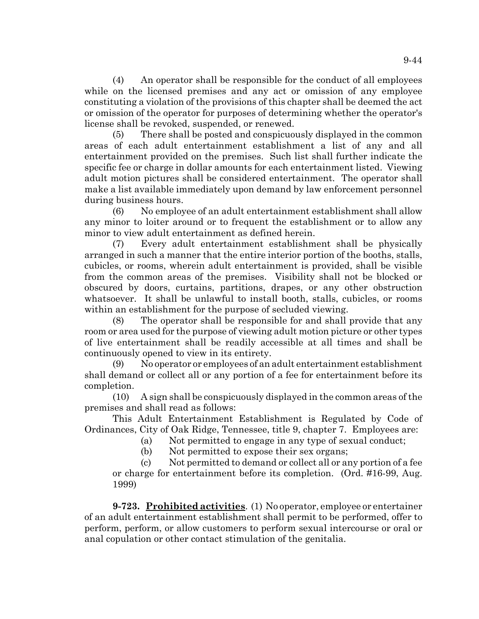(4) An operator shall be responsible for the conduct of all employees while on the licensed premises and any act or omission of any employee constituting a violation of the provisions of this chapter shall be deemed the act or omission of the operator for purposes of determining whether the operator's license shall be revoked, suspended, or renewed.

(5) There shall be posted and conspicuously displayed in the common areas of each adult entertainment establishment a list of any and all entertainment provided on the premises. Such list shall further indicate the specific fee or charge in dollar amounts for each entertainment listed. Viewing adult motion pictures shall be considered entertainment. The operator shall make a list available immediately upon demand by law enforcement personnel during business hours.

(6) No employee of an adult entertainment establishment shall allow any minor to loiter around or to frequent the establishment or to allow any minor to view adult entertainment as defined herein.

(7) Every adult entertainment establishment shall be physically arranged in such a manner that the entire interior portion of the booths, stalls, cubicles, or rooms, wherein adult entertainment is provided, shall be visible from the common areas of the premises. Visibility shall not be blocked or obscured by doors, curtains, partitions, drapes, or any other obstruction whatsoever. It shall be unlawful to install booth, stalls, cubicles, or rooms within an establishment for the purpose of secluded viewing.

(8) The operator shall be responsible for and shall provide that any room or area used for the purpose of viewing adult motion picture or other types of live entertainment shall be readily accessible at all times and shall be continuously opened to view in its entirety.

(9) No operator or employees of an adult entertainment establishment shall demand or collect all or any portion of a fee for entertainment before its completion.

(10) A sign shall be conspicuously displayed in the common areas of the premises and shall read as follows:

This Adult Entertainment Establishment is Regulated by Code of Ordinances, City of Oak Ridge, Tennessee, title 9, chapter 7. Employees are:

(a) Not permitted to engage in any type of sexual conduct;

(b) Not permitted to expose their sex organs;

(c) Not permitted to demand or collect all or any portion of a fee or charge for entertainment before its completion. (Ord. #16-99, Aug. 1999)

**9-723. Prohibited activities**. (1) No operator, employee or entertainer of an adult entertainment establishment shall permit to be performed, offer to perform, perform, or allow customers to perform sexual intercourse or oral or anal copulation or other contact stimulation of the genitalia.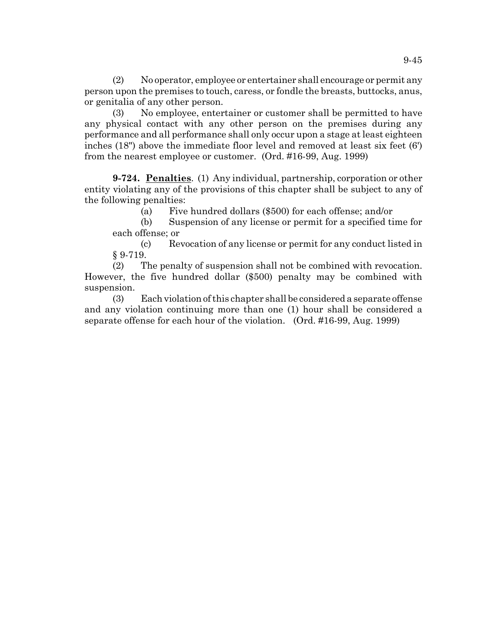(2) No operator, employee or entertainer shall encourage or permit any person upon the premises to touch, caress, or fondle the breasts, buttocks, anus, or genitalia of any other person.

(3) No employee, entertainer or customer shall be permitted to have any physical contact with any other person on the premises during any performance and all performance shall only occur upon a stage at least eighteen inches (18") above the immediate floor level and removed at least six feet (6') from the nearest employee or customer. (Ord. #16-99, Aug. 1999)

**9-724. Penalties**. (1) Any individual, partnership, corporation or other entity violating any of the provisions of this chapter shall be subject to any of the following penalties:

(a) Five hundred dollars (\$500) for each offense; and/or

(b) Suspension of any license or permit for a specified time for each offense; or

(c) Revocation of any license or permit for any conduct listed in § 9-719.

(2) The penalty of suspension shall not be combined with revocation. However, the five hundred dollar (\$500) penalty may be combined with suspension.

(3) Each violation of this chapter shall be considered a separate offense and any violation continuing more than one (1) hour shall be considered a separate offense for each hour of the violation. (Ord. #16-99, Aug. 1999)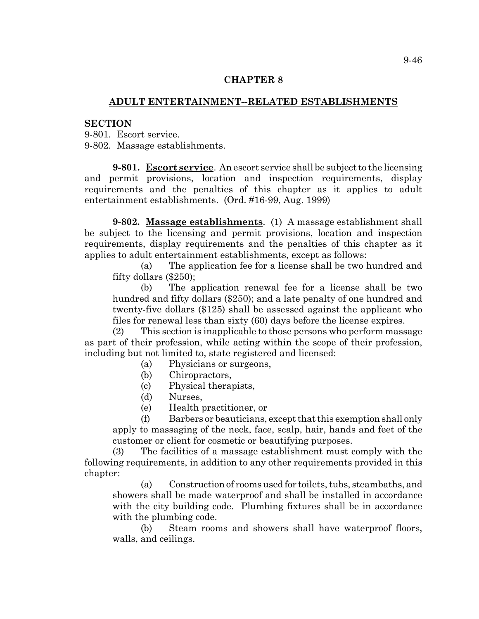#### **CHAPTER 8**

# **ADULT ENTERTAINMENT--RELATED ESTABLISHMENTS**

#### **SECTION**

9-801. Escort service.

9-802. Massage establishments.

**9-801. Escort service**. An escort service shall be subject to the licensing and permit provisions, location and inspection requirements, display requirements and the penalties of this chapter as it applies to adult entertainment establishments. (Ord. #16-99, Aug. 1999)

**9-802. Massage establishments**. (1) A massage establishment shall be subject to the licensing and permit provisions, location and inspection requirements, display requirements and the penalties of this chapter as it applies to adult entertainment establishments, except as follows:

(a) The application fee for a license shall be two hundred and fifty dollars (\$250);

(b) The application renewal fee for a license shall be two hundred and fifty dollars (\$250); and a late penalty of one hundred and twenty-five dollars (\$125) shall be assessed against the applicant who files for renewal less than sixty (60) days before the license expires.

(2) This section is inapplicable to those persons who perform massage as part of their profession, while acting within the scope of their profession, including but not limited to, state registered and licensed:

(a) Physicians or surgeons,

- (b) Chiropractors,
- (c) Physical therapists,
- (d) Nurses,

(e) Health practitioner, or

(f) Barbers or beauticians, except that this exemption shall only apply to massaging of the neck, face, scalp, hair, hands and feet of the customer or client for cosmetic or beautifying purposes.

(3) The facilities of a massage establishment must comply with the following requirements, in addition to any other requirements provided in this chapter:

(a) Construction of rooms used for toilets, tubs, steambaths, and showers shall be made waterproof and shall be installed in accordance with the city building code. Plumbing fixtures shall be in accordance with the plumbing code.

(b) Steam rooms and showers shall have waterproof floors, walls, and ceilings.